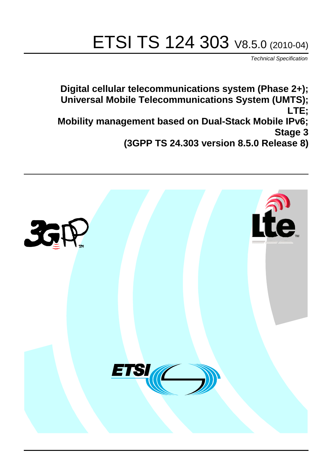# ETSI TS 124 303 V8.5.0 (2010-04)

*Technical Specification*

**Digital cellular telecommunications system (Phase 2+); Universal Mobile Telecommunications System (UMTS); LTE; Mobility management based on Dual-Stack Mobile IPv6; Stage 3 (3GPP TS 24.303 version 8.5.0 Release 8)**

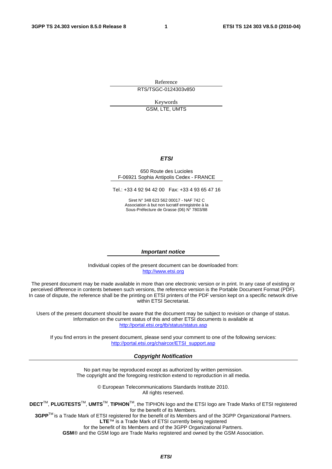Reference RTS/TSGC-0124303v850

Keywords

GSM, LTE, UMTS

#### *ETSI*

#### 650 Route des Lucioles F-06921 Sophia Antipolis Cedex - FRANCE

Tel.: +33 4 92 94 42 00 Fax: +33 4 93 65 47 16

Siret N° 348 623 562 00017 - NAF 742 C Association à but non lucratif enregistrée à la Sous-Préfecture de Grasse (06) N° 7803/88

#### *Important notice*

Individual copies of the present document can be downloaded from: [http://www.etsi.org](http://www.etsi.org/)

The present document may be made available in more than one electronic version or in print. In any case of existing or perceived difference in contents between such versions, the reference version is the Portable Document Format (PDF). In case of dispute, the reference shall be the printing on ETSI printers of the PDF version kept on a specific network drive within ETSI Secretariat.

Users of the present document should be aware that the document may be subject to revision or change of status. Information on the current status of this and other ETSI documents is available at <http://portal.etsi.org/tb/status/status.asp>

If you find errors in the present document, please send your comment to one of the following services: [http://portal.etsi.org/chaircor/ETSI\\_support.asp](http://portal.etsi.org/chaircor/ETSI_support.asp)

#### *Copyright Notification*

No part may be reproduced except as authorized by written permission. The copyright and the foregoing restriction extend to reproduction in all media.

> © European Telecommunications Standards Institute 2010. All rights reserved.

**DECT**TM, **PLUGTESTS**TM, **UMTS**TM, **TIPHON**TM, the TIPHON logo and the ETSI logo are Trade Marks of ETSI registered for the benefit of its Members.

**3GPP**TM is a Trade Mark of ETSI registered for the benefit of its Members and of the 3GPP Organizational Partners. **LTE**™ is a Trade Mark of ETSI currently being registered

for the benefit of its Members and of the 3GPP Organizational Partners.

**GSM**® and the GSM logo are Trade Marks registered and owned by the GSM Association.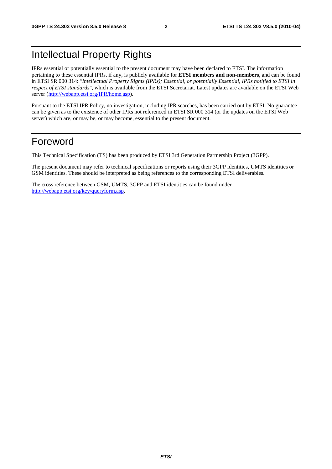### Intellectual Property Rights

IPRs essential or potentially essential to the present document may have been declared to ETSI. The information pertaining to these essential IPRs, if any, is publicly available for **ETSI members and non-members**, and can be found in ETSI SR 000 314: *"Intellectual Property Rights (IPRs); Essential, or potentially Essential, IPRs notified to ETSI in respect of ETSI standards"*, which is available from the ETSI Secretariat. Latest updates are available on the ETSI Web server [\(http://webapp.etsi.org/IPR/home.asp\)](http://webapp.etsi.org/IPR/home.asp).

Pursuant to the ETSI IPR Policy, no investigation, including IPR searches, has been carried out by ETSI. No guarantee can be given as to the existence of other IPRs not referenced in ETSI SR 000 314 (or the updates on the ETSI Web server) which are, or may be, or may become, essential to the present document.

### Foreword

This Technical Specification (TS) has been produced by ETSI 3rd Generation Partnership Project (3GPP).

The present document may refer to technical specifications or reports using their 3GPP identities, UMTS identities or GSM identities. These should be interpreted as being references to the corresponding ETSI deliverables.

The cross reference between GSM, UMTS, 3GPP and ETSI identities can be found under [http://webapp.etsi.org/key/queryform.asp.](http://webapp.etsi.org/key/queryform.asp)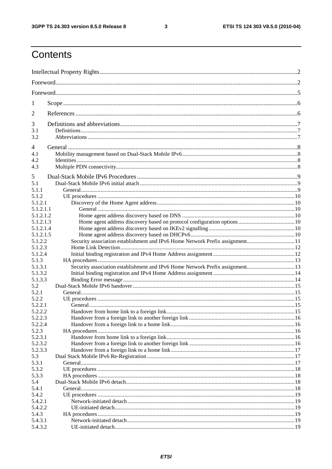$\mathbf{3}$ 

## Contents

| 1                  |                                                                              |  |  |
|--------------------|------------------------------------------------------------------------------|--|--|
| 2                  |                                                                              |  |  |
| 3                  |                                                                              |  |  |
| 3.1                |                                                                              |  |  |
| 3.2                |                                                                              |  |  |
| 4                  |                                                                              |  |  |
| 4.1                |                                                                              |  |  |
| 4.2                |                                                                              |  |  |
| 4.3                |                                                                              |  |  |
| 5                  |                                                                              |  |  |
| 5.1                |                                                                              |  |  |
| 5.1.1              |                                                                              |  |  |
| 5.1.2              |                                                                              |  |  |
| 5.1.2.1            |                                                                              |  |  |
| 5.1.2.1.1          |                                                                              |  |  |
| 5.1.2.1.2          |                                                                              |  |  |
| 5.1.2.1.3          |                                                                              |  |  |
| 5.1.2.1.4          |                                                                              |  |  |
| 5.1.2.1.5          |                                                                              |  |  |
| 5.1.2.2            |                                                                              |  |  |
| 5.1.2.3            |                                                                              |  |  |
| 5.1.2.4            |                                                                              |  |  |
| 5.1.3<br>5.1.3.1   |                                                                              |  |  |
| 5.1.3.2            | Security association establishment and IPv6 Home Network Prefix assignment13 |  |  |
| 5.1.3.3            |                                                                              |  |  |
| 5.2                |                                                                              |  |  |
| 5.2.1              |                                                                              |  |  |
| 5.2.2              |                                                                              |  |  |
| 5.2.2.1            |                                                                              |  |  |
| 5.2.2.2            |                                                                              |  |  |
| 5.2.2.3            |                                                                              |  |  |
| 5.2.2.4            |                                                                              |  |  |
| 5.2.3              |                                                                              |  |  |
| 5.2.3.1            |                                                                              |  |  |
| 5.2.3.2<br>5.2.3.3 |                                                                              |  |  |
| 5.3                |                                                                              |  |  |
| 5.3.1              |                                                                              |  |  |
| 5.3.2              |                                                                              |  |  |
| 5.3.3              |                                                                              |  |  |
| 5.4                |                                                                              |  |  |
| 5.4.1              |                                                                              |  |  |
| 5.4.2              |                                                                              |  |  |
| 5.4.2.1            |                                                                              |  |  |
| 5.4.2.2            |                                                                              |  |  |
| 5.4.3              |                                                                              |  |  |
| 5.4.3.1            |                                                                              |  |  |
| 5.4.3.2            |                                                                              |  |  |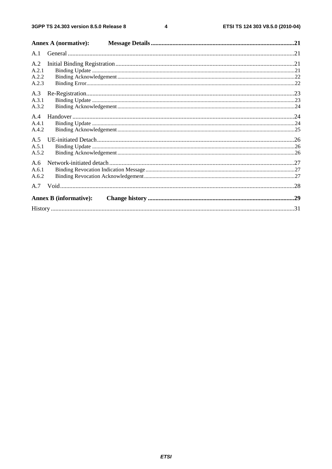$\overline{\mathbf{4}}$ 

|                       | <b>Annex A (normative):</b>   |  |
|-----------------------|-------------------------------|--|
| A.1                   |                               |  |
| A.2<br>A.2.1          |                               |  |
| A.2.2<br>A.2.3        |                               |  |
| A.3<br>A.3.1<br>A.3.2 |                               |  |
| A.4<br>A.4.1<br>A.4.2 |                               |  |
| A.5<br>A.5.1<br>A.5.2 |                               |  |
| A.6<br>A.6.1<br>A.6.2 |                               |  |
| A.7                   |                               |  |
|                       | <b>Annex B</b> (informative): |  |
|                       |                               |  |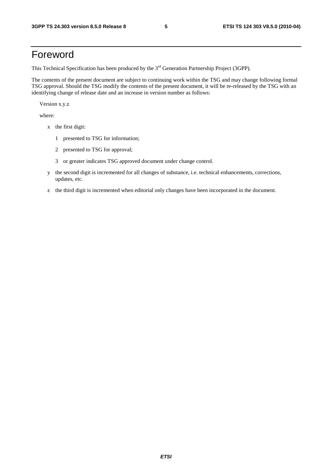### Foreword

This Technical Specification has been produced by the 3<sup>rd</sup> Generation Partnership Project (3GPP).

The contents of the present document are subject to continuing work within the TSG and may change following formal TSG approval. Should the TSG modify the contents of the present document, it will be re-released by the TSG with an identifying change of release date and an increase in version number as follows:

Version x.y.z

where:

- x the first digit:
	- 1 presented to TSG for information;
	- 2 presented to TSG for approval;
	- 3 or greater indicates TSG approved document under change control.
- y the second digit is incremented for all changes of substance, i.e. technical enhancements, corrections, updates, etc.
- z the third digit is incremented when editorial only changes have been incorporated in the document.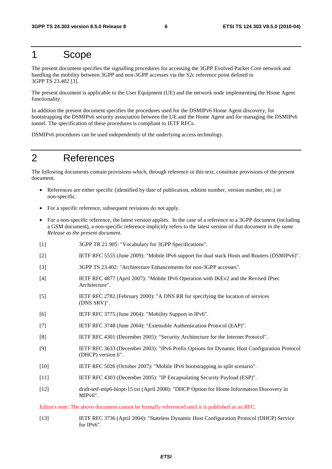### 1 Scope

The present document specifies the signalling procedures for accessing the 3GPP Evolved Packet Core network and handling the mobility between 3GPP and non-3GPP accesses via the S2c reference point defined in 3GPP TS 23.402 [3].

The present document is applicable to the User Equipment (UE) and the network node implementing the Home Agent functionality.

In addition the present document specifies the procedures used for the DSMIPv6 Home Agent discovery, for bootstrapping the DSMIPv6 security association between the UE and the Home Agent and for managing the DSMIPv6 tunnel. The specification of these procedures is compliant to IETF RFCs.

DSMIPv6 procedures can be used independently of the underlying access technology.

### 2 References

The following documents contain provisions which, through reference in this text, constitute provisions of the present document.

- References are either specific (identified by date of publication, edition number, version number, etc.) or non-specific.
- For a specific reference, subsequent revisions do not apply.
- For a non-specific reference, the latest version applies. In the case of a reference to a 3GPP document (including a GSM document), a non-specific reference implicitly refers to the latest version of that document *in the same Release as the present document*.
- [1] 3GPP TR 21.905: "Vocabulary for 3GPP Specifications".
- [2] IETF RFC 5555 (June 2009): "Mobile IPv6 support for dual stack Hosts and Routers (DSMIPv6)".
- [3] 3GPP TS 23.402: "Architecture Enhancements for non-3GPP accesses".
- [4] IETF RFC 4877 (April 2007): "Mobile IPv6 Operation with IKEv2 and the Revised IPsec Architecture".
- [5] IETF RFC 2782 (February 2000): "A DNS RR for specifying the location of services (DNS SRV)".
- [6] IETF RFC 3775 (June 2004): "Mobility Support in IPv6".
- [7] IETF RFC 3748 (June 2004): "Extensible Authentication Protocol (EAP)".
- [8] IETF RFC 4301 (December 2005): "Security Architecture for the Internet Protocol".
- [9] IETF RFC 3633 (December 2003): "IPv6 Prefix Options for Dynamic Host Configuration Protocol (DHCP) version 6".
- [10] IETF RFC 5026 (October 2007): "Mobile IPv6 bootstrapping in split scenario".
- [11] IETF RFC 4303 (December 2005): "IP Encapsulating Security Payload (ESP)".
- [12] draft-ietf-mip6-hiopt-15.txt (April 2008): "DHCP Option for Home Information Discovery in MIPv6".

Editor's note: The above document cannot be formally referenced until it is published as an RFC.

[13] IETF RFC 3736 (April 2004): "Stateless Dynamic Host Configuration Protocol (DHCP) Service for IPv6".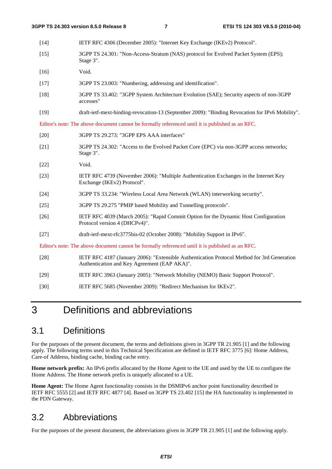- [14] IETF RFC 4306 (December 2005): "Internet Key Exchange (IKEv2) Protocol". [15] 3GPP TS 24.301: "Non-Access-Stratum (NAS) protocol for Evolved Packet System (EPS); Stage 3".
- [16] Void.
- [17] 3GPP TS 23.003: "Numbering, addressing and identification".
- [18] 3GPP TS 33.402: "3GPP System Architecture Evolution (SAE); Security aspects of non-3GPP accesses"
- [19] draft-ietf-mext-binding-revocation-13 (September 2009): "Binding Revocation for IPv6 Mobility".

Editor's note: The above document cannot be formally referenced until it is published as an RFC.

- [20] 3GPP TS 29.273: "3GPP EPS AAA interfaces"
- [21] 3GPP TS 24.302: "Access to the Evolved Packet Core (EPC) via non-3GPP access networks; Stage 3".
- [22] Void.
- [23] IETF RFC 4739 (November 2006): "Multiple Authentication Exchanges in the Internet Key Exchange (IKEv2) Protocol".
- [24] 3GPP TS 33.234: "Wireless Local Area Network (WLAN) interworking security".
- [25] 3GPP TS 29.275 "PMIP based Mobility and Tunnelling protocols".
- [26] IETF RFC 4039 (March 2005): "Rapid Commit Option for the Dynamic Host Configuration Protocol version 4 (DHCPv4)".
- [27] draft-ietf-mext-rfc3775bis-02 (October 2008): "Mobility Support in IPv6".

Editor's note: The above document cannot be formally referenced until it is published as an RFC.

- [28] IETF RFC 4187 (January 2006): "Extensible Authentication Protocol Method for 3rd Generation Authentication and Key Agreement (EAP AKA)".
- [29] IETF RFC 3963 (January 2005): "Network Mobility (NEMO) Basic Support Protocol".
- [30] IETF RFC 5685 (November 2009): "Redirect Mechanism for IKEv2".

### 3 Definitions and abbreviations

### 3.1 Definitions

For the purposes of the present document, the terms and definitions given in 3GPP TR 21.905 [1] and the following apply. The following terms used in this Technical Specification are defined in IETF RFC 3775 [6]: Home Address, Care-of Address, binding cache, binding cache entry.

**Home network prefix:** An IPv6 prefix allocated by the Home Agent to the UE and used by the UE to configure the Home Address. The Home network prefix is uniquely allocated to a UE.

**Home Agent:** The Home Agent functionality consists in the DSMIPv6 anchor point functionality described in IETF RFC 5555 [2] and IETF RFC 4877 [4]. Based on 3GPP TS 23.402 [15] the HA functionality is implemented in the PDN Gateway.

### 3.2 Abbreviations

For the purposes of the present document, the abbreviations given in 3GPP TR 21.905 [1] and the following apply.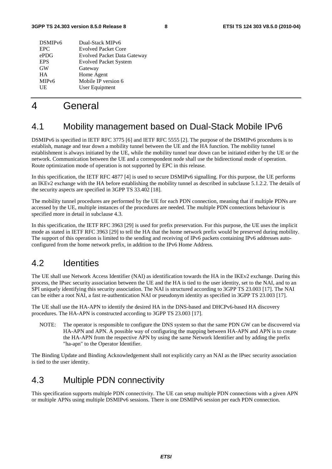| DSMIP <sub>v6</sub> | Dual-Stack MIPv6                   |
|---------------------|------------------------------------|
| <b>EPC</b>          | <b>Evolved Packet Core</b>         |
| ePDG                | <b>Evolved Packet Data Gateway</b> |
| <b>EPS</b>          | <b>Evolved Packet System</b>       |
| <b>GW</b>           | Gateway                            |
| <b>HA</b>           | Home Agent                         |
| MIP <sub>v</sub> 6  | Mobile IP version 6                |
| UE                  | User Equipment                     |
|                     |                                    |

### 4 General

### 4.1 Mobility management based on Dual-Stack Mobile IPv6

DSMIPv6 is specified in IETF RFC 3775 [6] and IETF RFC 5555 [2]. The purpose of the DSMIPv6 procedures is to establish, manage and tear down a mobility tunnel between the UE and the HA function. The mobility tunnel establishment is always initiated by the UE, while the mobility tunnel tear down can be initiated either by the UE or the network. Communication between the UE and a correspondent node shall use the bidirectional mode of operation. Route optimization mode of operation is not supported by EPC in this release.

In this specification, the IETF RFC 4877 [4] is used to secure DSMIPv6 signalling. For this purpose, the UE performs an IKEv2 exchange with the HA before establishing the mobility tunnel as described in subclause 5.1.2.2. The details of the security aspects are specified in 3GPP TS 33.402 [18].

The mobility tunnel procedures are performed by the UE for each PDN connection, meaning that if multiple PDNs are accessed by the UE, multiple instances of the procedures are needed. The multiple PDN connections behaviour is specified more in detail in subclause 4.3.

In this specification, the IETF RFC 3963 [29] is used for prefix preservation. For this purpose, the UE uses the implicit mode as stated in IETF RFC 3963 [29] to tell the HA that the home network prefix would be preserved during mobility. The support of this operation is limited to the sending and receiving of IPv6 packets containing IPv6 addresses autoconfigured from the home network prefix, in addition to the IPv6 Home Address.

### 4.2 Identities

The UE shall use Network Access Identifier (NAI) as identification towards the HA in the IKEv2 exchange. During this process, the IPsec security association between the UE and the HA is tied to the user identity, set to the NAI, and to an SPI uniquely identifying this security association. The NAI is structured according to 3GPP TS 23.003 [17]. The NAI can be either a root NAI, a fast re-authentication NAI or pseudonym identity as specified in 3GPP TS 23.003 [17].

The UE shall use the HA-APN to identify the desired HA in the DNS-based and DHCPv6-based HA discovery procedures. The HA-APN is constructed according to 3GPP TS 23.003 [17].

NOTE: The operator is responsible to configure the DNS system so that the same PDN GW can be discovered via HA-APN and APN. A possible way of configuring the mapping between HA-APN and APN is to create the HA-APN from the respective APN by using the same Network Identifier and by adding the prefix "ha-apn" to the Operator Identifier.

The Binding Update and Binding Acknowledgement shall not explicitly carry an NAI as the IPsec security association is tied to the user identity.

### 4.3 Multiple PDN connectivity

This specification supports multiple PDN connectivity. The UE can setup multiple PDN connections with a given APN or multiple APNs using multiple DSMIPv6 sessions. There is one DSMIPv6 session per each PDN connection.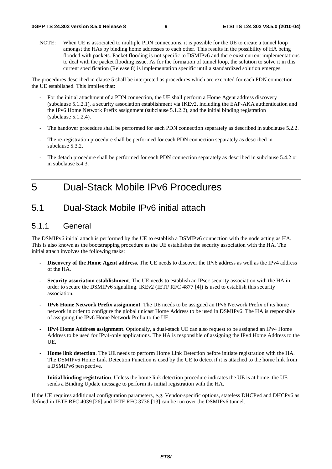NOTE: When UE is associated to multiple PDN connections, it is possible for the UE to create a tunnel loop amongst the HAs by binding home addresses to each other. This results in the possibility of HA being flooded with packets. Packet flooding is not specific to DSMIPv6 and there exist current implementations to deal with the packet flooding issue. As for the formation of tunnel loop, the solution to solve it in this current specification (Release 8) is implementation specific until a standardized solution emerges.

The procedures described in clause 5 shall be interpreted as procedures which are executed for each PDN connection the UE established. This implies that:

- For the initial attachment of a PDN connection, the UE shall perform a Home Agent address discovery (subclause 5.1.2.1), a security association establishment via IKEv2, including the EAP-AKA authentication and the IPv6 Home Network Prefix assignment (subclause 5.1.2.2), and the initial binding registration (subclause 5.1.2.4).
- The handover procedure shall be performed for each PDN connection separately as described in subclause 5.2.2.
- The re-registration procedure shall be performed for each PDN connection separately as described in subclause 5.3.2.
- The detach procedure shall be performed for each PDN connection separately as described in subclause 5.4.2 or in subclause 5.4.3.

### 5 Dual-Stack Mobile IPv6 Procedures

### 5.1 Dual-Stack Mobile IPv6 initial attach

#### 5.1.1 General

The DSMIPv6 initial attach is performed by the UE to establish a DSMIPv6 connection with the node acting as HA. This is also known as the bootstrapping procedure as the UE establishes the security association with the HA. The initial attach involves the following tasks:

- **Discovery of the Home Agent address**. The UE needs to discover the IPv6 address as well as the IPv4 address of the HA.
- **Security association establishment**. The UE needs to establish an IPsec security association with the HA in order to secure the DSMIPv6 signalling. IKEv2 (IETF RFC 4877 [4]) is used to establish this security association.
- **IPv6 Home Network Prefix assignment**. The UE needs to be assigned an IPv6 Network Prefix of its home network in order to configure the global unicast Home Address to be used in DSMIPv6. The HA is responsible of assigning the IPv6 Home Network Prefix to the UE.
- **IPv4 Home Address assignment**. Optionally, a dual-stack UE can also request to be assigned an IPv4 Home Address to be used for IPv4-only applications. The HA is responsible of assigning the IPv4 Home Address to the UE.
- **Home link detection**. The UE needs to perform Home Link Detection before initiate registration with the HA. The DSMIPv6 Home Link Detection Function is used by the UE to detect if it is attached to the home link from a DSMIPv6 perspective.
- **Initial binding registration**. Unless the home link detection procedure indicates the UE is at home, the UE sends a Binding Update message to perform its initial registration with the HA.

If the UE requires additional configuration parameters, e.g. Vendor-specific options, stateless DHCPv4 and DHCPv6 as defined in IETF RFC 4039 [26] and IETF RFC 3736 [13] can be run over the DSMIPv6 tunnel.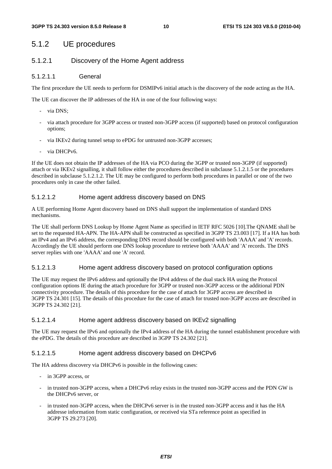#### 5.1.2 UE procedures

#### 5.1.2.1 Discovery of the Home Agent address

#### 5.1.2.1.1 General

The first procedure the UE needs to perform for DSMIPv6 initial attach is the discovery of the node acting as the HA.

The UE can discover the IP addresses of the HA in one of the four following ways:

- via DNS;
- via attach procedure for 3GPP access or trusted non-3GPP access (if supported) based on protocol configuration options;
- via IKEv2 during tunnel setup to ePDG for untrusted non-3GPP accesses;
- via DHCPv6.

If the UE does not obtain the IP addresses of the HA via PCO during the 3GPP or trusted non-3GPP (if supported) attach or via IKEv2 signalling, it shall follow either the procedures described in subclause 5.1.2.1.5 or the procedures described in subclause 5.1.2.1.2. The UE may be configured to perform both procedures in parallel or one of the two procedures only in case the other failed.

#### 5.1.2.1.2 Home agent address discovery based on DNS

A UE performing Home Agent discovery based on DNS shall support the implementation of standard DNS mechanisms.

The UE shall perform DNS Lookup by Home Agent Name as specified in IETF RFC 5026 [10].The QNAME shall be set to the requested HA-APN. The HA-APN shall be constructed as specified in 3GPP TS 23.003 [17]. If a HA has both an IPv4 and an IPv6 address, the corresponding DNS record should be configured with both 'AAAA' and 'A' records. Accordingly the UE should perform one DNS lookup procedure to retrieve both 'AAAA' and 'A' records. The DNS server replies with one 'AAAA' and one 'A' record.

#### 5.1.2.1.3 Home agent address discovery based on protocol configuration options

The UE may request the IPv6 address and optionally the IPv4 address of the dual stack HA using the Protocol configuration options IE during the attach procedure for 3GPP or trusted non-3GPP access or the additional PDN connectivity procedure. The details of this procedure for the case of attach for 3GPP access are described in 3GPP TS 24.301 [15]. The details of this procedure for the case of attach for trusted non-3GPP access are described in 3GPP TS 24.302 [21].

#### 5.1.2.1.4 Home agent address discovery based on IKEv2 signalling

The UE may request the IPv6 and optionally the IPv4 address of the HA during the tunnel establishment procedure with the ePDG. The details of this procedure are described in 3GPP TS 24.302 [21].

#### 5.1.2.1.5 Home agent address discovery based on DHCPv6

The HA address discovery via DHCPv6 is possible in the following cases:

- in 3GPP access, or
- in trusted non-3GPP access, when a DHCPv6 relay exists in the trusted non-3GPP access and the PDN GW is the DHCPv6 server, or
- in trusted non-3GPP access, when the DHCPv6 server is in the trusted non-3GPP access and it has the HA addresse information from static configuration, or received via STa reference point as specified in 3GPP TS 29.273 [20].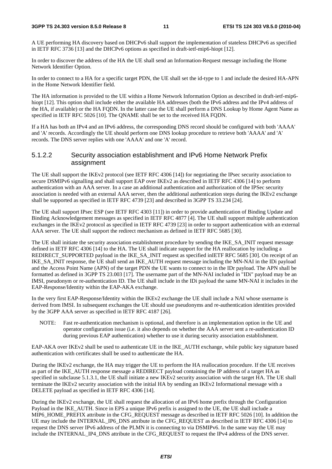#### **3GPP TS 24.303 version 8.5.0 Release 8 11 ETSI TS 124 303 V8.5.0 (2010-04)**

A UE performing HA discovery based on DHCPv6 shall support the implementation of stateless DHCPv6 as specified in IETF RFC 3736 [13] and the DHCPv6 options as specified in draft-ietf-mip6-hiopt [12].

In order to discover the address of the HA the UE shall send an Information-Request message including the Home Network Identifier Option.

In order to connect to a HA for a specific target PDN, the UE shall set the id-type to 1 and include the desired HA-APN in the Home Network Identifier field.

The HA information is provided to the UE within a Home Network Information Option as described in draft-ietf-mip6 hiopt [12]. This option shall include either the available HA addresses (both the IPv6 address and the IPv4 address of the HA, if available) or the HA FQDN. In the latter case the UE shall perform a DNS Lookup by Home Agent Name as specified in IETF RFC 5026 [10]. The QNAME shall be set to the received HA FQDN.

If a HA has both an IPv4 and an IPv6 address, the corresponding DNS record should be configured with both 'AAAA' and 'A' records. Accordingly the UE should perform one DNS lookup procedure to retrieve both 'AAAA' and 'A' records. The DNS server replies with one 'AAAA' and one 'A' record.

#### 5.1.2.2 Security association establishment and IPv6 Home Network Prefix assignment

The UE shall support the IKEv2 protocol (see IETF RFC 4306 [14]) for negotiating the IPsec security association to secure DSMIPv6 signalling and shall support EAP over IKEv2 as described in IETF RFC 4306 [14] to perform authentication with an AAA server. In a case an additional authentication and authorization of the IPSec security association is needed with an external AAA server, then the additional authentication steps during the IKEv2 exchange shall be supported as specified in IETF RFC 4739 [23] and described in 3GPP TS 33.234 [24].

The UE shall support IPsec ESP (see IETF RFC 4303 [11]) in order to provide authentication of Binding Update and Binding Acknowledgement messages as specified in IETF RFC 4877 [4]. The UE shall support multiple authentication exchanges in the IKEv2 protocol as specified in IETF RFC 4739 [23] in order to support authentication with an external AAA server. The UE shall support the redirect mechanism as defined in IETF RFC 5685 [30].

The UE shall initiate the security association establishment procedure by sending the IKE\_SA\_INIT request message defined in IETF RFC 4306 [14] to the HA. The UE shall indicate support for the HA reallocation by including a REDIRECT\_SUPPORTED payload in the IKE\_SA\_INIT request as specified inIETF RFC 5685 [30]. On receipt of an IKE\_SA\_INIT response, the UE shall send an IKE\_AUTH request message including the MN-NAI in the IDi payload and the Access Point Name (APN) of the target PDN the UE wants to connect to in the IDr payload. The APN shall be formatted as defined in 3GPP TS 23.003 [17]. The username part of the MN-NAI included in "IDi" payload may be an IMSI, pseudonym or re-authentication ID. The UE shall include in the IDi payload the same MN-NAI it includes in the EAP-Response/Identity within the EAP-AKA exchange.

In the very first EAP-Response/Identity within the IKEv2 exchange the UE shall include a NAI whose username is derived from IMSI. In subsequent exchanges the UE should use pseudonyms and re-authentication identities provided by the 3GPP AAA server as specified in IETF RFC 4187 [26].

NOTE: Fast re-authentication mechanism is optional, and therefore is an implementation option in the UE and operator configuration issue (i.e. it also depends on whether the AAA server sent a re-authentication ID during previous EAP authentication) whether to use it during security association establishment.

EAP-AKA over IKEv2 shall be used to authenticate UE in the IKE\_AUTH exchange, while public key signature based authentication with certificates shall be used to authenticate the HA.

During the IKEv2 exchange, the HA may trigger the UE to perform the HA reallocation procedure. If the UE receives as part of the IKE\_AUTH response message a REDIRECT payload containing the IP address of a target HA as specified in subclause 5.1.3.1, the UE shall initiate a new IKEv2 security association with the target HA. The UE shall terminate the IKEv2 security association with the initial HA by sending an IKEv2 Informational message with a DELETE payload as specified in IETF RFC 4306 [14].

During the IKEv2 exchange, the UE shall request the allocation of an IPv6 home prefix through the Configuration Payload in the IKE\_AUTH. Since in EPS a unique IPv6 prefix is assigned to the UE, the UE shall include a MIP6\_HOME\_PREFIX attribute in the CFG\_REQUEST message as described in IETF RFC 5026 [10]. In addition the UE may include the INTERNAL\_IP6\_DNS attribute in the CFG\_REQUEST as described in IETF RFC 4306 [14] to request the DNS server IPv6 address of the PLMN it is connecting to via DSMIPv6. In the same way the UE may include the INTERNAL\_IP4\_DNS attribute in the CFG\_REQUEST to request the IPv4 address of the DNS server.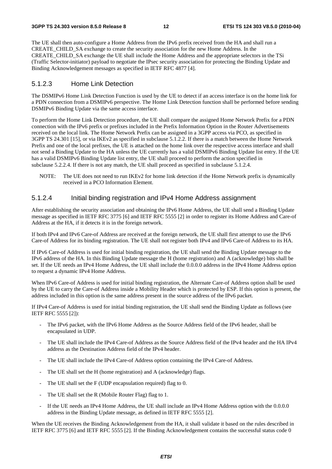The UE shall then auto-configure a Home Address from the IPv6 prefix received from the HA and shall run a CREATE\_CHILD\_SA exchange to create the security association for the new Home Address. In the CREATE\_CHILD\_SA exchange the UE shall include the Home Address and the appropriate selectors in the TSi (Traffic Selector-initiator) payload to negotiate the IPsec security association for protecting the Binding Update and Binding Acknowledgement messages as specified in IETF RFC 4877 [4].

#### 5.1.2.3 Home Link Detection

The DSMIPv6 Home Link Detection Function is used by the UE to detect if an access interface is on the home link for a PDN connection from a DSMIPv6 perspective. The Home Link Detection function shall be performed before sending DSMIPv6 Binding Update via the same access interface.

To perform the Home Link Detection procedure, the UE shall compare the assigned Home Network Prefix for a PDN connection with the IPv6 prefix or prefixes included in the Prefix Information Option in the Router Advertisements received on the local link. The Home Network Prefix can be assigned in a 3GPP access via PCO, as specified in 3GPP TS 24.301 [15], or via IKEv2 as specified in subclause 5.1.2.2. If there is a match between the Home Network Prefix and one of the local prefixes, the UE is attached on the home link over the respective access interface and shall not send a Binding Update to the HA unless the UE currently has a valid DSMIPv6 Binding Update list entry. If the UE has a valid DSMIPv6 Binding Update list entry, the UE shall proceed to perform the action specified in subclause 5.2.2.4. If there is not any match, the UE shall proceed as specified in subclause 5.1.2.4.

NOTE: The UE does not need to run IKEv2 for home link detection if the Home Network prefix is dynamically received in a PCO Information Element.

#### 5.1.2.4 Initial binding registration and IPv4 Home Address assignment

After establishing the security association and obtaining the IPv6 Home Address, the UE shall send a Binding Update message as specified in IETF RFC 3775 [6] and IETF RFC 5555 [2] in order to register its Home Address and Care-of Address at the HA, if it detects it is in the foreign network.

If both IPv4 and IPv6 Care-of Address are received at the foreign network, the UE shall first attempt to use the IPv6 Care-of Address for its binding registration. The UE shall not register both IPv4 and IPv6 Care-of Address to its HA.

If IPv6 Care-of Address is used for initial binding registration, the UE shall send the Binding Update message to the IPv6 address of the HA. In this Binding Update message the H (home registration) and A (acknowledge) bits shall be set. If the UE needs an IPv4 Home Address, the UE shall include the 0.0.0.0 address in the IPv4 Home Address option to request a dynamic IPv4 Home Address.

When IPv6 Care-of Address is used for initial binding registration, the Alternate Care-of Address option shall be used by the UE to carry the Care-of Address inside a Mobility Header which is protected by ESP. If this option is present, the address included in this option is the same address present in the source address of the IPv6 packet.

If IPv4 Care-of Address is used for initial binding registration, the UE shall send the Binding Update as follows (see IETF RFC 5555 [2]):

- The IPv6 packet, with the IPv6 Home Address as the Source Address field of the IPv6 header, shall be encapsulated in UDP.
- The UE shall include the IPv4 Care-of Address as the Source Address field of the IPv4 header and the HA IPv4 address as the Destination Address field of the IPv4 header.
- The UE shall include the IPv4 Care-of Address option containing the IPv4 Care-of Address.
- The UE shall set the H (home registration) and A (acknowledge) flags.
- The UE shall set the F (UDP encapsulation required) flag to 0.
- The UE shall set the R (Mobile Router Flag) flag to 1.
- If the UE needs an IPv4 Home Address, the UE shall include an IPv4 Home Address option with the 0.0.0.0 address in the Binding Update message, as defined in IETF RFC 5555 [2].

When the UE receives the Binding Acknowledgement from the HA, it shall validate it based on the rules described in IETF RFC 3775 [6] and IETF RFC 5555 [2]. If the Binding Acknowledgement contains the successful status code 0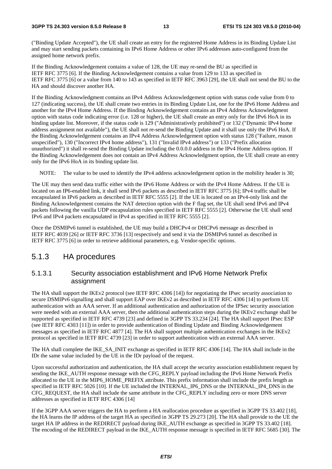("Binding Update Accepted"), the UE shall create an entry for the registered Home Address in its Binding Update List and may start sending packets containing its IPv6 Home Address or other IPv6 addresses auto-configured from the assigned home network prefix.

If the Binding Acknowledgement contains a value of 128, the UE may re-send the BU as specified in IETF RFC 3775 [6]. If the Binding Acknowledgement contains a value from 129 to 133 as specified in IETF RFC 3775 [6] or a value from 140 to 143 as specified in IETF RFC 3963 [29], the UE shall not send the BU to the HA and should discover another HA.

If the Binding Acknowledgment contains an IPv4 Address Acknowledgement option with status code value from 0 to 127 (indicating success), the UE shall create two entries in its Binding Update List, one for the IPv6 Home Address and another for the IPv4 Home Address. If the Binding Acknowledgement contains an IPv4 Address Acknowledgment option with status code indicating error (i.e. 128 or higher), the UE shall create an entry only for the IPv6 HoA in its binding update list. Moreover, if the status code is 129 ("Administratively prohibited") or 132 ("Dynamic IPv4 home address assignment not available"), the UE shall not re-send the Binding Update and it shall use only the IPv6 HoA. If the Binding Acknowledgement contains an IPv4 Address Acknowledgement option with status 128 ("Failure, reason unspecified"), 130 ("Incorrect IPv4 home address"), 131 ("Invalid IPv4 address") or 133 ("Prefix allocation unauthorized") it shall re-send the Binding Update including the 0.0.0.0 address in the IPv4 Home Address option. If the Binding Acknowledgement does not contain an IPv4 Address Acknowledgment option, the UE shall create an entry only for the IPv6 HoA in its binding update list.

NOTE: The value to be used to identify the IPv4 address acknowledgement option in the mobility header is 30;

The UE may then send data traffic either with the IPv6 Home Address or with the IPv4 Home Address. If the UE is located on an IP6-enabled link, it shall send IPv6 packets as described in IETF RFC 3775 [6]; IPv4 traffic shall be encapsulated in IPv6 packets as described in IETF RFC 5555 [2]. If the UE is located on an IPv4-only link and the Binding Acknowledgement contains the NAT detection option with the F flag set, the UE shall send IPv6 and IPv4 packets following the vanilla UDP encapsulation rules specified in IETF RFC 5555 [2]. Otherwise the UE shall send IPv6 and IPv4 packets encapsulated in IPv4 as specified in IETF RFC 5555 [2].

Once the DSMIPv6 tunnel is established, the UE may build a DHCPv4 or DHCPv6 message as described in IETF RFC 4039 [26] or IETF RFC 3736 [13] respectively and send it via the DSMIPv6 tunnel as described in IETF RFC 3775 [6] in order to retrieve additional parameters, e.g. Vendor-specific options.

#### 5.1.3 HA procedures

#### 5.1.3.1 Security association establishment and IPv6 Home Network Prefix assignment

The HA shall support the IKEv2 protocol (see IETF RFC 4306 [14]) for negotiating the IPsec security association to secure DSMIPv6 signalling and shall support EAP over IKEv2 as described in IETF RFC 4306 [14] to perform UE authentication with an AAA server. If an additional authentication and authorization of the IPSec security association were needed with an external AAA server, then the additional authentication steps during the IKEv2 exchange shall be supported as specified in IETF RFC 4739 [23] and defined in 3GPP TS 33.234 [24]. The HA shall support IPsec ESP (see IETF RFC 4303 [11]) in order to provide authentication of Binding Update and Binding Acknowledgement messages as specified in IETF RFC 4877 [4]. The HA shall support multiple authentication exchanges in the IKEv2 protocol as specified in IETF RFC 4739 [23] in order to support authentication with an external AAA server.

The HA shall complete the IKE\_SA\_INIT exchange as specified in IETF RFC 4306 [14]. The HA shall include in the IDr the same value included by the UE in the IDr payload of the request.

Upon successful authorization and authentication, the HA shall accept the security association establishment request by sending the IKE\_AUTH response message with the CFG\_REPLY payload including the IPv6 Home Network Prefix allocated to the UE in the MIP6\_HOME\_PREFIX attribute. This prefix information shall include the prefix length as specified in IETF RFC 5026 [10]. If the UE included the INTERNAL\_IP6\_DNS or the INTERNAL\_IP4\_DNS in the CFG\_REQUEST, the HA shall include the same attribute in the CFG\_REPLY including zero or more DNS server addresses as specified in IETF RFC 4306 [14]

If the 3GPP AAA server triggers the HA to perform a HA reallocation procedure as specified in 3GPP TS 33.402 [18], the HA learns the IP address of the target HA as specified in 3GPP TS 29.273 [20]. The HA shall provide to the UE the target HA IP address in the REDIRECT payload during IKE\_AUTH exchange as specified in 3GPP TS 33.402 [18]. The encoding of the REDIRECT payload in the IKE\_AUTH response message is specified in IETF RFC 5685 [30]. The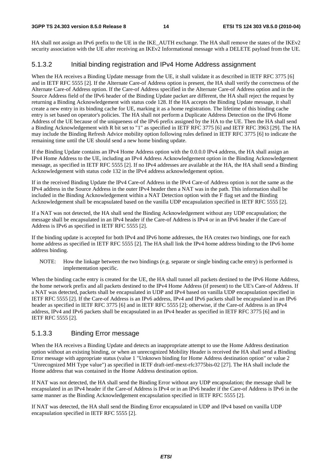HA shall not assign an IPv6 prefix to the UE in the IKE AUTH exchange. The HA shall remove the states of the IKEv2 security association with the UE after receiving an IKEv2 Informational message with a DELETE payload from the UE.

#### 5.1.3.2 Initial binding registration and IPv4 Home Address assignment

When the HA receives a Binding Update message from the UE, it shall validate it as described in IETF RFC 3775 [6] and in IETF RFC 5555 [2]. If the Alternate Care-of Address option is present, the HA shall verify the correctness of the Alternate Care-of Address option. If the Care-of Address specified in the Alternate Care-of Address option and in the Source Address field of the IPv6 header of the Binding Update packet are different, the HA shall reject the request by returning a Binding Acknowledgement with status code 128. If the HA accepts the Binding Update message, it shall create a new entry in its binding cache for UE, marking it as a home registration. The lifetime of this binding cache entry is set based on operator's policies. The HA shall not perform a Duplicate Address Detection on the IPv6 Home Address of the UE because of the uniqueness of the IPv6 prefix assigned by the HA to the UE. Then the HA shall send a Binding Acknowledgement with R bit set to "1" as specified in IETF RFC 3775 [6] and IETF RFC 3963 [29]. The HA may include the Binding Refresh Advice mobility option following rules defined in IETF RFC 3775 [6] to indicate the remaining time until the UE should send a new home binding update.

If the Binding Update contains an IPv4 Home Address option with the 0.0.0.0 IPv4 address, the HA shall assign an IPv4 Home Address to the UE, including an IPv4 Address Acknowledgement option in the Binding Acknowledgement message, as specified in IETF RFC 5555 [2]. If no IPv4 addresses are available at the HA, the HA shall send a Binding Acknowledgement with status code 132 in the IPv4 address acknowledgement option.

If in the received Binding Update the IPv4 Care-of Address in the IPv4 Care-of Address option is not the same as the IPv4 address in the Source Address in the outer IPv4 header then a NAT was in the path. This information shall be included in the Binding Acknowledgement within a NAT Detection option with the F flag set and the Binding Acknowledgement shall be encapsulated based on the vanilla UDP encapsulation specified in IETF RFC 5555 [2].

If a NAT was not detected, the HA shall send the Binding Acknowledgement without any UDP encapsulation; the message shall be encapsulated in an IPv4 header if the Care-of Address is IPv4 or in an IPv6 header if the Care-of Address is IPv6 as specified in IETF RFC 5555 [2].

If the binding update is accepted for both IPv4 and IPv6 home addresses, the HA creates two bindings, one for each home address as specified in IETF RFC 5555 [2]. The HA shall link the IPv4 home address binding to the IPv6 home address binding.

NOTE: How the linkage between the two bindings (e.g. separate or single binding cache entry) is performed is implementation specific.

When the binding cache entry is created for the UE, the HA shall tunnel all packets destined to the IPv6 Home Address, the home network prefix and all packets destined to the IPv4 Home Address (if present) to the UE's Care-of Address. If a NAT was detected, packets shall be encapsulated in UDP and IPv4 based on vanilla UDP encapsulation specified in IETF RFC 5555 [2]. If the Care-of Address is an IPv6 address, IPv4 and IPv6 packets shall be encapsulated in an IPv6 header as specified in IETF RFC 3775 [6] and in IETF RFC 5555 [2]; otherwise, if the Care-of Address is an IPv4 address, IPv4 and IPv6 packets shall be encapsulated in an IPv4 header as specified in IETF RFC 3775 [6] and in IETF RFC 5555 [2].

#### 5.1.3.3 Binding Error message

When the HA receives a Binding Update and detects an inappropriate attempt to use the Home Address destination option without an existing binding, or when an unrecognized Mobility Header is received the HA shall send a Binding Error message with appropriate status (value 1 "Unknown binding for Home Address destination option" or value 2 "Unrecognized MH Type value") as specified in IETF draft-ietf-mext-rfc3775bis-02 [27]. The HA shall include the Home address that was contained in the Home Address destination option.

If NAT was not detected, the HA shall send the Binding Error without any UDP encapsulation; the message shall be encapsulated in an IPv4 header if the Care-of Address is IPv4 or in an IPv6 header if the Care-of Address is IPv6 in the same manner as the Binding Acknowledgement encapsulation specified in IETF RFC 5555 [2].

If NAT was detected, the HA shall send the Binding Error encapsulated in UDP and IPv4 based on vanilla UDP encapsulation specified in IETF RFC 5555 [2].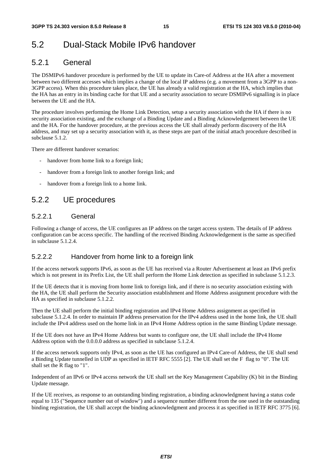### 5.2 Dual-Stack Mobile IPv6 handover

### 5.2.1 General

The DSMIPv6 handover procedure is performed by the UE to update its Care-of Address at the HA after a movement between two different accesses which implies a change of the local IP address (e.g. a movement from a 3GPP to a non-3GPP access). When this procedure takes place, the UE has already a valid registration at the HA, which implies that the HA has an entry in its binding cache for that UE and a security association to secure DSMIPv6 signalling is in place between the UE and the HA.

The procedure involves performing the Home Link Detection, setup a security association with the HA if there is no security association existing, and the exchange of a Binding Update and a Binding Acknowledgement between the UE and the HA. For the handover procedure, at the previous access the UE shall already perform discovery of the HA address, and may set up a security association with it, as these steps are part of the initial attach procedure described in subclause 5.1.2.

There are different handover scenarios:

- handover from home link to a foreign link;
- handover from a foreign link to another foreign link; and
- handover from a foreign link to a home link.

### 5.2.2 UE procedures

#### 5.2.2.1 General

Following a change of access, the UE configures an IP address on the target access system. The details of IP address configuration can be access specific. The handling of the received Binding Acknowledgement is the same as specified in subclause 5.1.2.4.

#### 5.2.2.2 Handover from home link to a foreign link

If the access network supports IPv6, as soon as the UE has received via a Router Advertisement at least an IPv6 prefix which is not present in its Prefix List, the UE shall perform the Home Link detection as specified in subclause 5.1.2.3.

If the UE detects that it is moving from home link to foreign link, and if there is no security association existing with the HA, the UE shall perform the Security association establishment and Home Address assignment procedure with the HA as specified in subclause 5.1.2.2.

Then the UE shall perform the initial binding registration and IPv4 Home Address assignment as specified in subclause 5.1.2.4. In order to maintain IP address preservation for the IPv4 address used in the home link, the UE shall include the IPv4 address used on the home link in an IPv4 Home Address option in the same Binding Update message.

If the UE does not have an IPv4 Home Address but wants to configure one, the UE shall include the IPv4 Home Address option with the 0.0.0.0 address as specified in subclause 5.1.2.4.

If the access network supports only IPv4, as soon as the UE has configured an IPv4 Care-of Address, the UE shall send a Binding Update tunnelled in UDP as specified in IETF RFC 5555 [2]. The UE shall set the F flag to "0". The UE shall set the R flag to "1".

Independent of an IPv6 or IPv4 access network the UE shall set the Key Management Capability (K) bit in the Binding Update message.

If the UE receives, as response to an outstanding binding registration, a binding acknowledgment having a status code equal to 135 ("Sequence number out of window") and a sequence number different from the one used in the outstanding binding registration, the UE shall accept the binding acknowledgment and process it as specified in IETF RFC 3775 [6].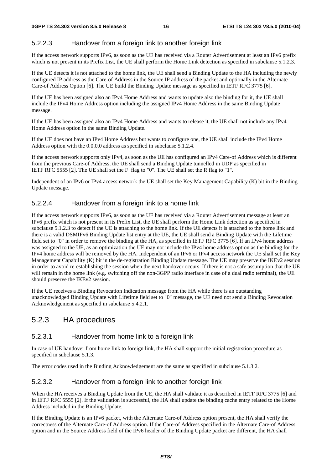#### 5.2.2.3 Handover from a foreign link to another foreign link

If the access network supports IPv6, as soon as the UE has received via a Router Advertisement at least an IPv6 prefix which is not present in its Prefix List, the UE shall perform the Home Link detection as specified in subclause 5.1.2.3.

If the UE detects it is not attached to the home link, the UE shall send a Binding Update to the HA including the newly configured IP address as the Care-of Address in the Source IP address of the packet and optionally in the Alternate Care-of Address Option [6]. The UE build the Binding Update message as specified in IETF RFC 3775 [6].

If the UE has been assigned also an IPv4 Home Address and wants to update also the binding for it, the UE shall include the IPv4 Home Address option including the assigned IPv4 Home Address in the same Binding Update message.

If the UE has been assigned also an IPv4 Home Address and wants to release it, the UE shall not include any IPv4 Home Address option in the same Binding Update.

If the UE does not have an IPv4 Home Address but wants to configure one, the UE shall include the IPv4 Home Address option with the 0.0.0.0 address as specified in subclause 5.1.2.4.

If the access network supports only IPv4, as soon as the UE has configured an IPv4 Care-of Address which is different from the previous Care-of Address, the UE shall send a Binding Update tunnelled in UDP as specified in IETF RFC 5555 [2]. The UE shall set the F flag to "0". The UE shall set the R flag to "1".

Independent of an IPv6 or IPv4 access network the UE shall set the Key Management Capability (K) bit in the Binding Update message.

#### 5.2.2.4 Handover from a foreign link to a home link

If the access network supports IPv6, as soon as the UE has received via a Router Advertisement message at least an IPv6 prefix which is not present in its Prefix List, the UE shall perform the Home Link detection as specified in subclause 5.1.2.3 to detect if the UE is attaching to the home link. If the UE detects it is attached to the home link and there is a valid DSMIPv6 Binding Update list entry at the UE, the UE shall send a Binding Update with the Lifetime field set to "0" in order to remove the binding at the HA, as specified in IETF RFC 3775 [6]. If an IPv4 home address was assigned to the UE, as an optimization the UE may not include the IPv4 home address option as the binding for the IPv4 home address will be removed by the HA. Independent of an IPv6 or IPv4 access network the UE shall set the Key Management Capability (K) bit in the de-registration Binding Update message. The UE may preserve the IKEv2 session in order to avoid re-establishing the session when the next handover occurs. If there is not a safe assumption that the UE will remain in the home link (e.g. switching off the non-3GPP radio interface in case of a dual radio terminal), the UE should preserve the IKEv2 session.

If the UE receives a Binding Revocation Indication message from the HA while there is an outstanding unacknowledged Binding Update with Lifetime field set to "0" message, the UE need not send a Binding Revocation Acknowledgement as specified in subclause 5.4.2.1.

### 5.2.3 HA procedures

#### 5.2.3.1 Handover from home link to a foreign link

In case of UE handover from home link to foreign link, the HA shall support the initial registrstion procedure as specified in subclause 5.1.3.

The error codes used in the Binding Acknowledgement are the same as specified in subclause 5.1.3.2.

#### 5.2.3.2 Handover from a foreign link to another foreign link

When the HA receives a Binding Update from the UE, the HA shall validate it as described in IETF RFC 3775 [6] and in IETF RFC 5555 [2]. If the validation is successful, the HA shall update the binding cache entry related to the Home Address included in the Binding Update.

If the Binding Update is an IPv6 packet, with the Alternate Care-of Address option present, the HA shall verify the correctness of the Alternate Care-of Address option. If the Care-of Address specified in the Alternate Care-of Address option and in the Source Address field of the IPv6 header of the Binding Update packet are different, the HA shall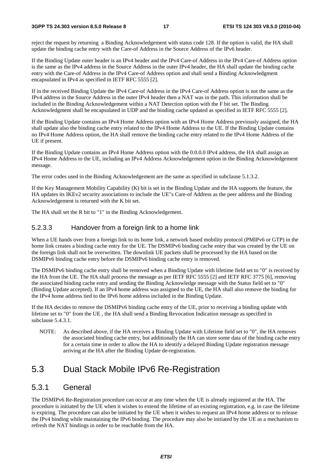#### **3GPP TS 24.303 version 8.5.0 Release 8 17 ETSI TS 124 303 V8.5.0 (2010-04)**

reject the request by returning a Binding Acknowledgement with status code 128. If the option is valid, the HA shall update the binding cache entry with the Care-of Address in the Source Address of the IPv6 header.

If the Binding Update outer header is an IPv4 header and the IPv4 Care-of Address in the IPv4 Care-of Address option is the same as the IPv4 address in the Source Address in the outer IPv4 header, the HA shall update the binding cache entry with the Care-of Address in the IPv4 Care-of Address option and shall send a Binding Acknowledgment encapsulated in IPv4 as specified in IETF RFC 5555 [2].

If in the received Binding Update the IPv4 Care-of Address in the IPv4 Care-of Address option is not the same as the IPv4 address in the Source Address in the outer IPv4 header then a NAT was in the path. This information shall be included in the Binding Acknowledgement within a NAT Detection option with the F bit set. The Binding Acknowledgment shall be encapsulated in UDP and the binding cache updated as specified in IETF RFC 5555 [2].

If the Binding Update contains an IPv4 Home Address option with an IPv4 Home Address previously assigned, the HA shall update also the binding cache entry related to the IPv4 Home Address to the UE. If the Binding Update contains no IPv4 Home Address option, the HA shall remove the binding cache entry related to the IPv4 Home Address of the UE if present.

If the Binding Update contains an IPv4 Home Address option with the 0.0.0.0 IPv4 address, the HA shall assign an IPv4 Home Address to the UE, including an IPv4 Address Acknowledgement option in the Binding Acknowledgement message.

The error codes used in the Binding Acknowledgement are the same as specified in subclause 5.1.3.2.

If the Key Management Mobility Capability (K) bit is set in the Binding Update and the HA supports the feature, the HA updates its IKEv2 security associations to include the UE"s Care-of Address as the peer address and the Binding Acknowledgement is returned with the K bit set.

The HA shall set the R bit to "1" in the Binding Acknowledgement.

#### 5.2.3.3 Handover from a foreign link to a home link

When a UE hands over from a foreign link to its home link, a network based mobility protocol (PMIPv6 or GTP) in the home link creates a binding cache entry for the UE. The DSMIPv6 binding cache entry that was created by the UE on the foreign link shall not be overwritten. The downlink UE packets shall be processed by the HA based on the DSMIPv6 binding cache entry before the DSMIPv6 binding cache entry is removed.

The DSMIPv6 binding cache entry shall be removed when a Binding Update with lifetime field set to "0" is received by the HA from the UE. The HA shall process the message as per IETF RFC 5555 [2] and IETF RFC 3775 [6], removing the associated binding cache entry and sending the Binding Acknowledge message with the Status field set to "0" (Binding Update accepted). If an IPv4 home address was assigned to the UE, the HA shall also remove the binding for the IPv4 home address tied to the IPv6 home address included in the Binding Update.

If the HA decides to remove the DSMIPv6 binding cache entry of the UE, prior to receiving a binding update with lifetime set to "0" from the UE , the HA shall send a Binding Revocation Indication message as specified in subclause 5.4.3.1.

NOTE: As described above, if the HA receives a Binding Update with Lifetime field set to "0", the HA removes the associated binding cache entry, but additionally the HA can store some data of the binding cache entry for a certain time in order to allow the HA to identify a delayed Binding Update registration message arriving at the HA after the Binding Update de-registration.

### 5.3 Dual Stack Mobile IPv6 Re-Registration

### 5.3.1 General

The DSMIPv6 Re-Registration procedure can occur at any time when the UE is already registered at the HA. The procedure is initiated by the UE when it wishes to extend the lifetime of an existing registration, e.g. in case the lifetime is expiring. The procedure can also be initiated by the UE when it wishes to request an IPv4 home address or to release the IPv4 binding while maintaining the IPv6 binding. The procedure may also be initiated by the UE as a mechanism to refresh the NAT bindings in order to be reachable from the HA.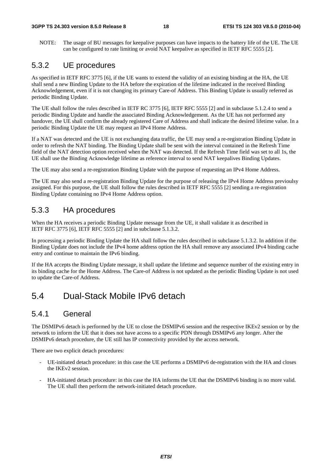NOTE: The usage of BU messages for keepalive purposes can have impacts to the battery life of the UE. The UE can be configured to rate limiting or avoid NAT keepalive as specified in IETF RFC 5555 [2].

### 5.3.2 UE procedures

As specified in IETF RFC 3775 [6], if the UE wants to extend the validity of an existing binding at the HA, the UE shall send a new Binding Update to the HA before the expiration of the lifetime indicated in the received Binding Acknowledgement, even if it is not changing its primary Care-of Address. This Binding Update is usually referred as periodic Binding Update.

The UE shall follow the rules described in IETF RC 3775 [6], IETF RFC 5555 [2] and in subclause 5.1.2.4 to send a periodic Binding Update and handle the associated Binding Acknowledgement. As the UE has not performed any handover, the UE shall confirm the already registered Care of Address and shall indicate the desired lifetime value. In a periodic Binding Update the UE may request an IPv4 Home Address.

If a NAT was detected and the UE is not exchanging data traffic, the UE may send a re-registration Binding Update in order to refresh the NAT binding. The Binding Update shall be sent with the interval contained in the Refresh Time field of the NAT detection option received when the NAT was detected. If the Refresh Time field was set to all 1s, the UE shall use the Binding Acknowledge lifetime as reference interval to send NAT keepalives Binding Updates.

The UE may also send a re-registration Binding Update with the purpose of requesting an IPv4 Home Address.

The UE may also send a re-registration Binding Update for the purpose of releasing the IPv4 Home Address previoulsy assigned. For this purpose, the UE shall follow the rules described in IETF RFC 5555 [2] sending a re-registration Binding Update containing no IPv4 Home Address option.

### 5.3.3 HA procedures

When the HA receives a periodic Binding Update message from the UE, it shall validate it as described in IETF RFC 3775 [6], IETF RFC 5555 [2] and in subclause 5.1.3.2.

In processing a periodic Binding Update the HA shall follow the rules described in subclause 5.1.3.2. In addition if the Binding Update does not include the IPv4 home address option the HA shall remove any associated IPv4 binding cache entry and continue to maintain the IPv6 binding.

If the HA accepts the Binding Update message, it shall update the lifetime and sequence number of the existing entry in its binding cache for the Home Address. The Care-of Address is not updated as the periodic Binding Update is not used to update the Care-of Address.

### 5.4 Dual-Stack Mobile IPv6 detach

### 5.4.1 General

The DSMIPv6 detach is performed by the UE to close the DSMIPv6 session and the respective IKEv2 session or by the network to inform the UE that it does not have access to a specific PDN through DSMIPv6 any longer. After the DSMIPv6 detach procedure, the UE still has IP connectivity provided by the access network.

There are two explicit detach procedures:

- UE-initiated detach procedure: in this case the UE performs a DSMIPv6 de-registration with the HA and closes the IKEv2 session.
- HA-initiated detach procedure: in this case the HA informs the UE that the DSMIPv6 binding is no more valid. The UE shall then perform the network-initiated detach procedure.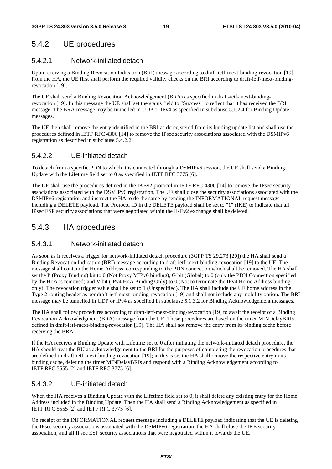### 5.4.2 UE procedures

#### 5.4.2.1 Network-initiated detach

Upon receiving a Binding Revocation Indication (BRI) message according to draft-ietf-mext-binding-revocation [19] from the HA, the UE first shall perform the required validity checks on the BRI according to draft-ietf-mext-bindingrevocation [19].

The UE shall send a Binding Revocation Acknowledgement (BRA) as specified in draft-ietf-mext-bindingrevocation [19]. In this message the UE shall set the status field to "Success" to reflect that it has received the BRI message. The BRA message may be tunnelled in UDP or IPv4 as specified in subclause 5.1.2.4 for Binding Update messages.

The UE then shall remove the entry identified in the BRI as deregistered from its binding update list and shall use the procedures defined in IETF RFC 4306 [14] to remove the IPsec security associations associated with the DSMIPv6 registration as described in subclause 5.4.2.2.

#### 5.4.2.2 UE-initiated detach

To detach from a specific PDN to which it is connected through a DSMIPv6 session, the UE shall send a Binding Update with the Lifetime field set to 0 as specified in IETF RFC 3775 [6].

The UE shall use the procedures defined in the IKEv2 protocol in IETF RFC 4306 [14] to remove the IPsec security associations associated with the DSMIPv6 registration. The UE shall close the security associations associated with the DSMIPv6 registration and instruct the HA to do the same by sending the INFORMATIONAL request message including a DELETE payload. The Protocol ID in the DELETE payload shall be set to "1" (IKE) to indicate that all IPsec ESP security associations that were negotiated within the IKEv2 exchange shall be deleted.

### 5.4.3 HA procedures

#### 5.4.3.1 Network-initiated detach

As soon as it receives a trigger for network-initiated detach procedure (3GPP TS 29.273 [20]) the HA shall send a Binding Revocation Indication (BRI) message according to draft-ietf-mext-binding-revocation [19] to the UE. The message shall contain the Home Address, corresponding to the PDN connection which shall be removed. The HA shall set the P (Proxy Binding) bit to 0 (Not Proxy MIPv6 binding), G bit (Global) to 0 (only the PDN Connection specified by the HoA is removed) and V bit (IPv4 HoA Binding Only) to 0 (Not to terminate the IPv4 Home Address binding only). The revocation trigger value shall be set to 1 (Unspecified). The HA shall include the UE home address in the Type 2 routing header as per draft-ietf-mext-binding-revocation [19] and shall not include any mobility option. The BRI message may be tunnelled in UDP or IPv4 as specified in subclause 5.1.3.2 for Binding Acknowledgement messages.

The HA shall follow procedures according to draft-ietf-mext-binding-revocation [19] to await the receipt of a Binding Revocation Acknowledgment (BRA) message from the UE. These procedures are based on the timer MINDelayBRIs defined in draft-ietf-mext-binding-revocation [19]. The HA shall not remove the entry from its binding cache before receiving the BRA.

If the HA receives a Binding Update with Lifetime set to 0 after initiating the network-initiated detach procedure, the HA should treat the BU as acknowledgement to the BRI for the purposes of completing the revocation procedures that are defined in draft-ietf-mext-binding-revocation [19]; in this case, the HA shall remove the respective entry in its binding cache, deleting the timer MINDelayBRIs and respond with a Binding Acknowledgement according to IETF RFC 5555 [2] and IETF RFC 3775 [6].

#### 5.4.3.2 UE-initiated detach

When the HA receives a Binding Update with the Lifetime field set to 0, it shall delete any existing entry for the Home Address included in the Binding Update. Then the HA shall send a Binding Acknowledgement as specified in IETF RFC 5555 [2] and IETF RFC 3775 [6].

On receipt of the INFORMATIONAL request message including a DELETE payload indicating that the UE is deleting the IPsec security associations associated with the DSMIPv6 registration, the HA shall close the IKE security association, and all IPsec ESP security associations that were negotiated within it towards the UE.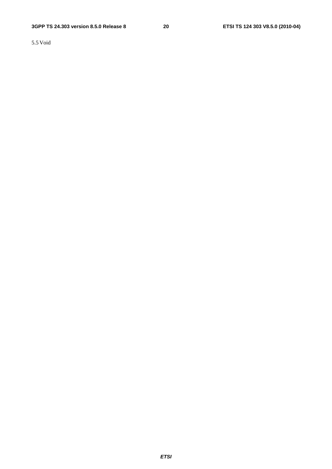5.5 Void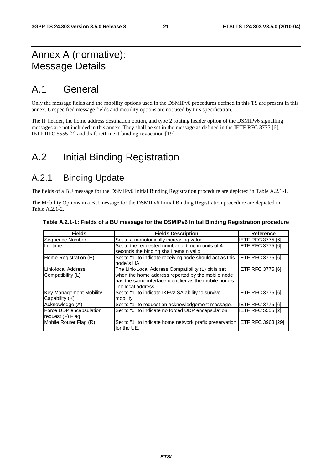### Annex A (normative): Message Details

### A.1 General

Only the message fields and the mobility options used in the DSMIPv6 procedures defined in this TS are present in this annex. Unspecified message fields and mobility options are not used by this specification.

The IP header, the home address destination option, and type 2 routing header option of the DSMIPv6 signalling messages are not included in this annex. They shall be set in the message as defined in the IETF RFC 3775 [6], IETF RFC 5555 [2] and draft-ietf-mext-binding-revocation [19].

### A.2 Initial Binding Registration

### A.2.1 Binding Update

The fields of a BU message for the DSMIPv6 Initial Binding Registration procedure are depicted in Table A.2.1-1.

The Mobility Options in a BU message for the DSMIPv6 Initial Binding Registration procedure are depicted in Table A.2.1-2.

| <b>Fields</b>                               | <b>Fields Description</b>                                                                                                                                                                 | <b>Reference</b>         |
|---------------------------------------------|-------------------------------------------------------------------------------------------------------------------------------------------------------------------------------------------|--------------------------|
| Sequence Number                             | Set to a monotonically increasing value.                                                                                                                                                  | <b>IETF RFC 3775 [6]</b> |
| Lifetime                                    | Set to the requested number of time in units of 4<br>seconds the binding shall remain valid.                                                                                              | <b>IETF RFC 3775 [6]</b> |
| Home Registration (H)                       | Set to "1" to indicate receiving node should act as this<br>node"s HA                                                                                                                     | IETF RFC 3775 [6]        |
| Link-local Address<br>Compatibility (L)     | The Link-Local Address Compatibility (L) bit is set<br>when the home address reported by the mobile node<br>has the same interface identifier as the mobile node's<br>link-local address. | IETF RFC 3775 [6]        |
| Key Management Mobility<br>Capability (K)   | Set to "1" to indicate IKEv2 SA ability to survive<br>mobility                                                                                                                            | <b>IETF RFC 3775 [6]</b> |
| Acknowledge (A)                             | Set to "1" to request an acknowledgement message.                                                                                                                                         | <b>IETF RFC 3775 [6]</b> |
| Force UDP encapsulation<br>request (F) Flag | Set to "0" to indicate no forced UDP encapsulation                                                                                                                                        | <b>IETF RFC 5555 [2]</b> |
| Mobile Router Flag (R)                      | Set to "1" to indicate home network prefix preservation IETF RFC 3963 [29]<br>for the UE.                                                                                                 |                          |

#### **Table A.2.1-1: Fields of a BU message for the DSMIPv6 Initial Binding Registration procedure**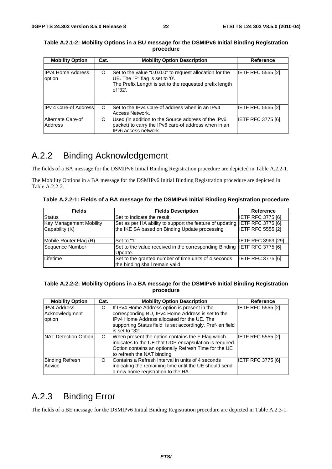| <b>Mobility Option</b>             | Cat. | <b>Mobility Option Description</b>                                                                                                                                 | <b>Reference</b>         |
|------------------------------------|------|--------------------------------------------------------------------------------------------------------------------------------------------------------------------|--------------------------|
|                                    |      |                                                                                                                                                                    |                          |
| <b>IPv4 Home Address</b><br>option | O    | Set to the value "0.0.0.0" to request allocation for the<br>UE. The "P" flag is set to '0'.<br>The Prefix Length is set to the requested prefix length<br>of '32'. | <b>IETF RFC 5555 [2]</b> |
| <b>IPv 4 Care-of Address</b>       | C    | Set to the IPv4 Care-of address when in an IPv4<br>Access Network.                                                                                                 | <b>IETF RFC 5555 [2]</b> |
| Alternate Care-of<br>Address       | С    | Used (in addition to the Source address of the IPv6<br>packet) to carry the IPv6 care-of address when in an<br>IPv6 access network.                                | <b>IETF RFC 3775 [6]</b> |

**Table A.2.1-2: Mobility Options in a BU message for the DSMIPv6 Initial Binding Registration procedure** 

### A.2.2 Binding Acknowledgement

The fields of a BA message for the DSMIPv6 Initial Binding Registration procedure are depicted in Table A.2.2-1.

The Mobility Options in a BA message for the DSMIPv6 Initial Binding Registration procedure are depicted in Table A.2.2-2.

**Table A.2.2-1: Fields of a BA message for the DSMIPv6 Initial Binding Registration procedure** 

| <b>Fields</b>                                    | <b>Fields Description</b>                                                                                                    | Reference                 |
|--------------------------------------------------|------------------------------------------------------------------------------------------------------------------------------|---------------------------|
| <b>Status</b>                                    | Set to indicate the result.                                                                                                  | <b>IETF RFC 3775 [6]</b>  |
| <b>Key Management Mobility</b><br>Capability (K) | Set as per HA ability to support the feature of updating IETF RFC 3775 [6],<br>the IKE SA based on Binding Update processing | <b>IETF RFC 5555 [2]</b>  |
| Mobile Router Flag (R)                           | Set to "1"                                                                                                                   | <b>IETF RFC 3963 [29]</b> |
| Sequence Number                                  | Set to the value received in the corresponding Binding IETF RFC 3775 [6]<br>Update.                                          |                           |
| Lifetime                                         | Set to the granted number of time units of 4 seconds<br>the binding shall remain valid.                                      | <b>IETF RFC 3775 [6]</b>  |

#### **Table A.2.2-2: Mobility Options in a BA message for the DSMIPv6 Initial Binding Registration procedure**

| <b>Mobility Option</b>                          | Cat. | <b>Mobility Option Description</b>                                                                                                                                                                                                 | Reference         |
|-------------------------------------------------|------|------------------------------------------------------------------------------------------------------------------------------------------------------------------------------------------------------------------------------------|-------------------|
| <b>IPv4 Address</b><br>Acknowledgment<br>option | С    | If IPv4 Home Address option is present in the<br>corresponding BU, IPv4 Home Address is set to the<br>IPv4 Home Address allocated for the UE. The<br>supporting Status field is set accordingly. Pref-len field<br>is set to "32". | IETF RFC 5555 [2] |
| NAT Detection Option                            | C    | When present the option contains the F Flag which<br>indicates to the UE that UDP encapsulation is required.<br>Option contains an optionally Refresh Time for the UE<br>to refresh the NAT binding.                               | IETF RFC 5555 [2] |
| <b>Binding Refresh</b><br>Advice                | O    | Contains a Refresh Interval in units of 4 seconds<br>indicating the remaining time until the UE should send<br>a new home registration to the HA.                                                                                  | IETF RFC 3775 [6] |

### A.2.3 Binding Error

The fields of a BE message for the DSMIPv6 Initial Binding Registration procedure are depicted in Table A.2.3-1.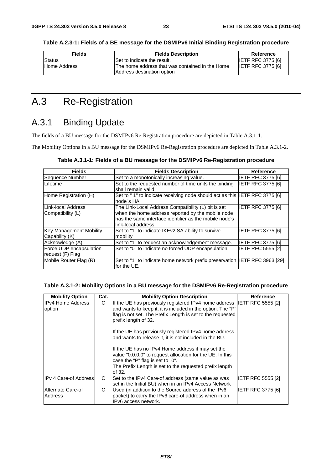| <b>Fields</b> | <b>Fields Description</b>                        | Reference                |
|---------------|--------------------------------------------------|--------------------------|
| Status        | Set to indicate the result.                      | <b>IETF RFC 3775 [6]</b> |
| Home Address  | IThe home address that was contained in the Home | <b>IETF RFC 3775 [6]</b> |

**Table A.2.3-1: Fields of a BE message for the DSMIPv6 Initial Binding Registration procedure** 

### A.3 Re-Registration

### A.3.1 Binding Update

The fields of a BU message for the DSMIPv6 Re-Registration procedure are depicted in Table A.3.1-1.

Address destination option

The Mobility Options in a BU message for the DSMIPv6 Re-Registration procedure are depicted in Table A.3.1-2.

| Table A.3.1-1: Fields of a BU message for the DSMIPv6 Re-Registration procedure |  |  |
|---------------------------------------------------------------------------------|--|--|
|---------------------------------------------------------------------------------|--|--|

| <b>Fields</b>                                    | <b>Fields Description</b>                                                                                                                                                                 | Reference                |
|--------------------------------------------------|-------------------------------------------------------------------------------------------------------------------------------------------------------------------------------------------|--------------------------|
| Sequence Number                                  | Set to a monotonically increasing value.                                                                                                                                                  | <b>IETF RFC 3775 [6]</b> |
| Lifetime                                         | Set to the requested number of time units the binding<br>shall remain valid.                                                                                                              | <b>IETF RFC 3775 [6]</b> |
| Home Registration (H)                            | Set to "1" to indicate receiving node should act as this  IETF RFC 3775 [6]<br>node"s HA                                                                                                  |                          |
| Link-local Address<br>Compatibility (L)          | The Link-Local Address Compatibility (L) bit is set<br>when the home address reported by the mobile node<br>has the same interface identifier as the mobile node's<br>link-local address. | <b>IETF RFC 3775 [6]</b> |
| <b>Key Management Mobility</b><br>Capability (K) | Set to "1" to indicate IKEv2 SA ability to survive<br>mobility                                                                                                                            | <b>IETF RFC 3775 [6]</b> |
| Acknowledge (A)                                  | Set to "1" to request an acknowledgement message.                                                                                                                                         | <b>IETF RFC 3775 [6]</b> |
| Force UDP encapsulation<br>request (F) Flag      | Set to "0" to indicate no forced UDP encapsulation                                                                                                                                        | <b>IETF RFC 5555 [2]</b> |
| Mobile Router Flag (R)                           | Set to "1" to indicate home network prefix preservation  IETF RFC 3963 [29]<br>for the UE.                                                                                                |                          |

#### **Table A.3.1-2: Mobility Options in a BU message for the DSMIPv6 Re-Registration procedure**

| <b>Mobility Option</b>                                                                                                                                                                                                                                                                                                                                                                                                                    | Cat. | <b>Mobility Option Description</b>                                                                                                                                 | Reference                |
|-------------------------------------------------------------------------------------------------------------------------------------------------------------------------------------------------------------------------------------------------------------------------------------------------------------------------------------------------------------------------------------------------------------------------------------------|------|--------------------------------------------------------------------------------------------------------------------------------------------------------------------|--------------------------|
| IIPv4 Home Address<br>C<br>If the UE has previously registered IPv4 home address IETF RFC 5555 [2]<br>and wants to keep it, it is included in the option. The "P"<br>option<br>flag is not set. The Prefix Length is set to the requested<br>prefix length of 32.<br>If the UE has previously registered IPv4 home address<br>and wants to release it, it is not included in the BU.<br>If the UE has no IPv4 Home address it may set the |      |                                                                                                                                                                    |                          |
|                                                                                                                                                                                                                                                                                                                                                                                                                                           |      | value "0.0.0.0" to request allocation for the UE. In this<br>case the "P" flag is set to "0".<br>The Prefix Length is set to the requested prefix length<br>of 32. |                          |
| <b>IPv 4 Care-of Address</b>                                                                                                                                                                                                                                                                                                                                                                                                              | C    | Set to the IPv4 Care-of address (same value as was<br>set in the Initial BU) when in an IPv4 Access Network                                                        | <b>IETF RFC 5555 [2]</b> |
| Alternate Care-of<br>Address                                                                                                                                                                                                                                                                                                                                                                                                              | C    | Used (in addition to the Source address of the IPv6<br>packet) to carry the IPv6 care-of address when in an<br>IPv6 access network.                                | <b>IETF RFC 3775 [6]</b> |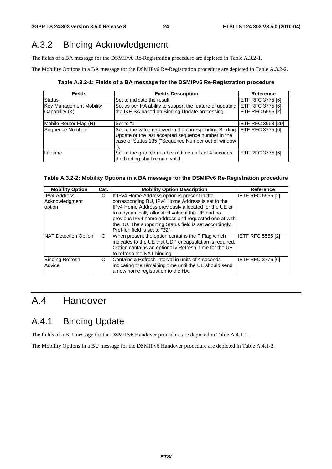### A.3.2 Binding Acknowledgement

The fields of a BA message for the DSMIPv6 Re-Registration procedure are depicted in Table A.3.2-1.

The Mobility Options in a BA message for the DSMIPv6 Re-Registration procedure are depicted in Table A.3.2-2.

**Table A.3.2-1: Fields of a BA message for the DSMIPv6 Re-Registration procedure** 

| <b>Fields</b>                                    | <b>Fields Description</b>                                                                                                                                                            | <b>Reference</b>         |
|--------------------------------------------------|--------------------------------------------------------------------------------------------------------------------------------------------------------------------------------------|--------------------------|
| <b>Status</b>                                    | Set to indicate the result.                                                                                                                                                          | <b>IETF RFC 3775 [6]</b> |
| <b>Key Management Mobility</b><br>Capability (K) | Set as per HA ability to support the feature of updating IETF RFC 3775 [6],<br>the IKE SA based on Binding Update processing                                                         | <b>IETF RFC 5555 [2]</b> |
| Mobile Router Flag (R)                           | Set to "1"                                                                                                                                                                           | IETF RFC 3963 [29]       |
| Sequence Number                                  | Set to the value received in the corresponding Binding IETF RFC 3775 [6]<br>Update or the last accepted sequence number in the<br>case of Status 135 ("Sequence Number out of window |                          |
| Lifetime                                         | Set to the granted number of time units of 4 seconds<br>the binding shall remain valid.                                                                                              | <b>IETF RFC 3775 [6]</b> |

#### **Table A.3.2-2: Mobility Options in a BA message for the DSMIPv6 Re-Registration procedure**

| <b>Mobility Option</b> | Cat. | <b>Mobility Option Description</b>                      | <b>Reference</b>         |
|------------------------|------|---------------------------------------------------------|--------------------------|
| <b>IPv4 Address</b>    | С    | If IPv4 Home Address option is present in the           | IETF RFC 5555 [2]        |
| Acknowledgment         |      | corresponding BU, IPv4 Home Address is set to the       |                          |
| option                 |      | IPv4 Home Address previously allocated for the UE or    |                          |
|                        |      | to a dynamically allocated value if the UE had no       |                          |
|                        |      | previous IPv4 home address and requested one at with    |                          |
|                        |      | the BU. The supporting Status field is set accordingly. |                          |
|                        |      | Pref-len field is set to "32".                          |                          |
| NAT Detection Option   | C    | When present the option contains the F Flag which       | IETF RFC 5555 [2]        |
|                        |      | indicates to the UE that UDP encapsulation is required. |                          |
|                        |      | Option contains an optionally Refresh Time for the UE   |                          |
|                        |      | to refresh the NAT binding.                             |                          |
| <b>Binding Refresh</b> | O    | Contains a Refresh Interval in units of 4 seconds       | <b>IETF RFC 3775 [6]</b> |
| Advice                 |      | indicating the remaining time until the UE should send  |                          |
|                        |      | a new home registration to the HA.                      |                          |

### A.4 Handover

### A.4.1 Binding Update

The fields of a BU message for the DSMIPv6 Handover procedure are depicted in Table A.4.1-1.

The Mobility Options in a BU message for the DSMIPv6 Handover procedure are depicted in Table A.4.1-2.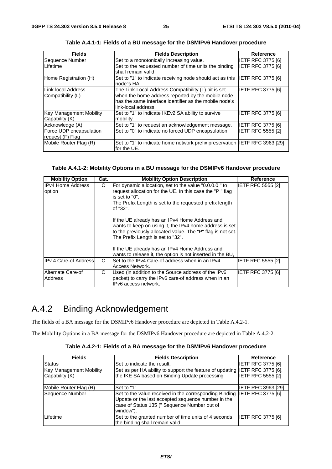| <b>Fields</b>                                    | <b>Fields Description</b>                                                                                                                                                                 | <b>Reference</b>         |
|--------------------------------------------------|-------------------------------------------------------------------------------------------------------------------------------------------------------------------------------------------|--------------------------|
| Sequence Number                                  | Set to a monotonically increasing value.                                                                                                                                                  | <b>IETF RFC 3775 [6]</b> |
| Lifetime                                         | Set to the requested number of time units the binding<br>shall remain valid.                                                                                                              | <b>IETF RFC 3775 [6]</b> |
| Home Registration (H)                            | Set to "1" to indicate receiving node should act as this  IETF RFC 3775 [6]<br>node"s HA                                                                                                  |                          |
| Link-local Address<br>Compatibility (L)          | The Link-Local Address Compatibility (L) bit is set<br>when the home address reported by the mobile node<br>has the same interface identifier as the mobile node's<br>link-local address. | IETF RFC 3775 [6]        |
| <b>Key Management Mobility</b><br>Capability (K) | Set to "1" to indicate IKEv2 SA ability to survive<br>mobility.                                                                                                                           | IETF RFC 3775 [6]        |
| Acknowledge (A)                                  | Set to "1" to request an acknowledgement message.                                                                                                                                         | <b>IETF RFC 3775 [6]</b> |
| Force UDP encapsulation<br>request (F) Flag      | Set to "0" to indicate no forced UDP encapsulation                                                                                                                                        | <b>IETF RFC 5555 [2]</b> |
| Mobile Router Flag (R)                           | Set to "1" to indicate home network prefix preservation IETF RFC 3963 [29]<br>for the UE.                                                                                                 |                          |

**Table A.4.1-1: Fields of a BU message for the DSMIPv6 Handover procedure** 

#### **Table A.4.1-2: Mobility Options in a BU message for the DSMIPv6 Handover procedure**

| <b>Mobility Option</b>                                                                                                                                                                                                                                | Cat. | <b>Mobility Option Description</b>                                                                                                                                                                            | <b>Reference</b>         |
|-------------------------------------------------------------------------------------------------------------------------------------------------------------------------------------------------------------------------------------------------------|------|---------------------------------------------------------------------------------------------------------------------------------------------------------------------------------------------------------------|--------------------------|
| <b>IPv4 Home Address</b><br>C<br>For dynamic allocation, set to the value "0.0.0.0" to<br>request allocation for the UE. In this case the "P" flag<br>option<br>is set to "0".<br>The Prefix Length is set to the requested prefix length<br>of "32". |      | <b>IETF RFC 5555 [2]</b>                                                                                                                                                                                      |                          |
|                                                                                                                                                                                                                                                       |      | If the UE already has an IPv4 Home Address and<br>wants to keep on using it, the IPv4 home address is set<br>to the previously allocated value. The "P" flag is not set.<br>The Prefix Length is set to "32". |                          |
|                                                                                                                                                                                                                                                       |      | If the UE already has an IPv4 Home Address and<br>wants to release it, the option is not inserted in the BU,                                                                                                  |                          |
| <b>IPv 4 Care-of Address</b>                                                                                                                                                                                                                          | C    | Set to the IPv4 Care-of address when in an IPv4<br>Access Network.                                                                                                                                            | IETF RFC 5555 [2]        |
| Alternate Care-of<br>Address                                                                                                                                                                                                                          | С    | Used (in addition to the Source address of the IPv6<br>packet) to carry the IPv6 care-of address when in an<br>IPv6 access network.                                                                           | <b>IETF RFC 3775 [6]</b> |

### A.4.2 Binding Acknowledgement

The fields of a BA message for the DSMIPv6 Handover procedure are depicted in Table A.4.2-1.

The Mobility Options in a BA message for the DSMIPv6 Handover procedure are depicted in Table A.4.2-2.

|  | Table A.4.2-1: Fields of a BA message for the DSMIPv6 Handover procedure |
|--|--------------------------------------------------------------------------|
|--|--------------------------------------------------------------------------|

| <b>Fields</b>                  | <b>Fields Description</b>                                                                                                                                                 | <b>Reference</b>          |
|--------------------------------|---------------------------------------------------------------------------------------------------------------------------------------------------------------------------|---------------------------|
| Status                         | Set to indicate the result.                                                                                                                                               | <b>IETF RFC 3775 [6]</b>  |
| <b>Key Management Mobility</b> | Set as per HA ability to support the feature of updating IETF RFC 3775 [6],                                                                                               |                           |
| Capability (K)                 | the IKE SA based on Binding Update processing                                                                                                                             | <b>IETF RFC 5555 [2]</b>  |
| Mobile Router Flag (R)         | Set to "1"                                                                                                                                                                | <b>IETF RFC 3963 [29]</b> |
| Sequence Number                | Set to the value received in the corresponding Binding<br>Update or the last accepted sequence number in the<br>case of Status 135 (" Sequence Number out of<br>window"). | <b>IETF RFC 3775 [6]</b>  |
| Lifetime                       | Set to the granted number of time units of 4 seconds<br>the binding shall remain valid.                                                                                   | IETF RFC 3775 [6]         |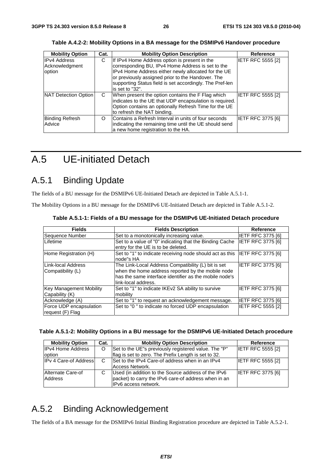| <b>Mobility Option</b> | Cat. | <b>Mobility Option Description</b>                       | Reference                |
|------------------------|------|----------------------------------------------------------|--------------------------|
| <b>IPv4 Address</b>    | С    | If IPv4 Home Address option is present in the            | <b>IETF RFC 5555 [2]</b> |
| Acknowledgment         |      | corresponding BU, IPv4 Home Address is set to the        |                          |
| option                 |      | IPv4 Home Address either newly allocated for the UE      |                          |
|                        |      | or previously assigned prior to the Handover. The        |                          |
|                        |      | supporting Status field is set accordingly. The Pref-len |                          |
|                        |      | is set to "32".                                          |                          |
| NAT Detection Option   | C    | When present the option contains the F Flag which        | <b>IETF RFC 5555 [2]</b> |
|                        |      | indicates to the UE that UDP encapsulation is required.  |                          |
|                        |      | Option contains an optionally Refresh Time for the UE    |                          |
|                        |      | to refresh the NAT binding.                              |                          |
| <b>Binding Refresh</b> | O    | Contains a Refresh Interval in units of four seconds     | <b>IETF RFC 3775 [6]</b> |
| Advice                 |      | indicating the remaining time until the UE should send   |                          |
|                        |      | a new home registration to the HA.                       |                          |

**Table A.4.2-2: Mobility Options in a BA message for the DSMIPv6 Handover procedure** 

### A.5 UE-initiated Detach

### A.5.1 Binding Update

The fields of a BU message for the DSMIPv6 UE-Initiated Detach are depicted in Table A.5.1-1.

The Mobility Options in a BU message for the DSMIPv6 UE-Initiated Detach are depicted in Table A.5.1-2.

| <b>Fields</b>                                    | <b>Fields Description</b>                                                                                                                                                                 | <b>Reference</b>         |
|--------------------------------------------------|-------------------------------------------------------------------------------------------------------------------------------------------------------------------------------------------|--------------------------|
| Sequence Number                                  | Set to a monotonically increasing value.                                                                                                                                                  | <b>IETF RFC 3775 [6]</b> |
| Lifetime                                         | Set to a value of "0" indicating that the Binding Cache<br>entry for the UE is to be deleted.                                                                                             | <b>IETF RFC 3775 [6]</b> |
| Home Registration (H)                            | Set to "1" to indicate receiving node should act as this IETF RFC 3775 [6]<br>node"s HA                                                                                                   |                          |
| Link-local Address<br>Compatibility (L)          | The Link-Local Address Compatibility (L) bit is set<br>when the home address reported by the mobile node<br>has the same interface identifier as the mobile node's<br>link-local address. | <b>IETF RFC 3775 [6]</b> |
| <b>Key Management Mobility</b><br>Capability (K) | Set to "1" to indicate IKEv2 SA ability to survive<br>mobility                                                                                                                            | <b>IETF RFC 3775 [6]</b> |
| Acknowledge (A)                                  | Set to "1" to request an acknowledgement message.                                                                                                                                         | <b>IETF RFC 3775 [6]</b> |
| Force UDP encapsulation<br>request (F) Flag      | Set to "0" to indicate no forced UDP encapsulation                                                                                                                                        | <b>IETF RFC 5555 [2]</b> |

**Table A.5.1-1: Fields of a BU message for the DSMIPv6 UE-Initiated Detach procedure** 

| Table A.5.1-2: Mobility Options in a BU message for the DSMIPv6 UE-Initiated Detach procedure |  |  |  |  |  |
|-----------------------------------------------------------------------------------------------|--|--|--|--|--|
|-----------------------------------------------------------------------------------------------|--|--|--|--|--|

| <b>Mobility Option</b>       | Cat. | <b>Mobility Option Description</b>                                 | Reference                |
|------------------------------|------|--------------------------------------------------------------------|--------------------------|
| <b>IPv4 Home Address</b>     | O    | Set to the UE"s previously registered value. The "P"               | <b>IETF RFC 5555 [2]</b> |
| option                       |      | flag is set to zero. The Prefix Length is set to 32.               |                          |
| <b>IPv 4 Care-of Address</b> | C    | Set to the IPv4 Care-of address when in an IPv4<br>Access Network. | <b>IETF RFC 5555 [2]</b> |
| Alternate Care-of            |      | Used (in addition to the Source address of the IPv6                | <b>IETF RFC 3775 [6]</b> |
| Address                      |      | packet) to carry the IPv6 care-of address when in an               |                          |
|                              |      | IPv6 access network.                                               |                          |

### A.5.2 Binding Acknowledgement

The fields of a BA message for the DSMIPv6 Initial Binding Registration procedure are depicted in Table A.5.2-1.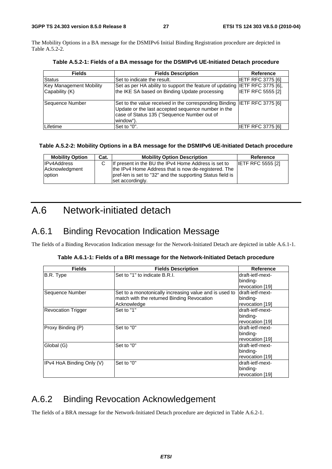The Mobility Options in a BA message for the DSMIPv6 Initial Binding Registration procedure are depicted in Table A.5.2-2.

| <b>Fields</b>                                    | <b>Fields Description</b>                                                                                                                                                                  | <b>Reference</b>         |
|--------------------------------------------------|--------------------------------------------------------------------------------------------------------------------------------------------------------------------------------------------|--------------------------|
| <b>Status</b>                                    | Set to indicate the result.                                                                                                                                                                | <b>IETF RFC 3775 [6]</b> |
| <b>Key Management Mobility</b><br>Capability (K) | Set as per HA ability to support the feature of updating IETF RFC 3775 [6],<br>the IKE SA based on Binding Update processing                                                               | <b>IETF RFC 5555 [2]</b> |
| Sequence Number                                  | Set to the value received in the corresponding Binding IETF RFC 3775 [6]<br>Update or the last accepted sequence number in the<br>case of Status 135 ("Sequence Number out of<br>window"). |                          |
| Lifetime                                         | Set to "0".                                                                                                                                                                                | IETF RFC 3775 [6]        |

**Table A.5.2-1: Fields of a BA message for the DSMIPv6 UE-Initiated Detach procedure** 

#### **Table A.5.2-2: Mobility Options in a BA message for the DSMIPv6 UE-Initiated Detach procedure**

| <b>Mobility Option</b>   | Cat. | <b>Mobility Option Description</b>                                                                                 | Reference                |
|--------------------------|------|--------------------------------------------------------------------------------------------------------------------|--------------------------|
| <b>IPv4Address</b>       |      | If present in the BU the IPv4 Home Address is set to                                                               | <b>IETF RFC 5555 [2]</b> |
| Acknowledgment<br>option |      | the IPv4 Home Address that is now de-registered. The<br>pref-len is set to "32" and the supporting Status field is |                          |
|                          |      | set accordingly.                                                                                                   |                          |

### A.6 Network-initiated detach

### A.6.1 Binding Revocation Indication Message

The fields of a Binding Revocation Indication message for the Network-Initiated Detach are depicted in table A.6.1-1.

|  | Table A.6.1-1: Fields of a BRI message for the Network-Initiated Detach procedure |  |
|--|-----------------------------------------------------------------------------------|--|
|  |                                                                                   |  |

| <b>Fields</b>             | <b>Fields Description</b>                              | <b>Reference</b> |
|---------------------------|--------------------------------------------------------|------------------|
| B.R. Type                 | Set to "1" to indicate B.R.I.                          | draft-ietf-mext- |
|                           |                                                        | binding-         |
|                           |                                                        | revocation [19]  |
| Sequence Number           | Set to a monotonically increasing value and is used to | draft-ietf-mext- |
|                           | match with the returned Binding Revocation             | binding-         |
|                           | Acknowledge                                            | revocation [19]  |
| <b>Revocation Trigger</b> | Set to "1"                                             | draft-ietf-mext- |
|                           |                                                        | binding-         |
|                           |                                                        | revocation [19]  |
| Proxy Binding (P)         | Set to "0"                                             | draft-ietf-mext- |
|                           |                                                        | binding-         |
|                           |                                                        | revocation [19]  |
| Global (G)                | Set to "0"                                             | draft-ietf-mext- |
|                           |                                                        | binding-         |
|                           |                                                        | revocation [19]  |
| IPv4 HoA Binding Only (V) | Set to "0"                                             | draft-ietf-mext- |
|                           |                                                        | binding-         |
|                           |                                                        | revocation [19]  |

### A.6.2 Binding Revocation Acknowledgement

The fields of a BRA message for the Network-Initiated Detach procedure are depicted in Table A.6.2-1.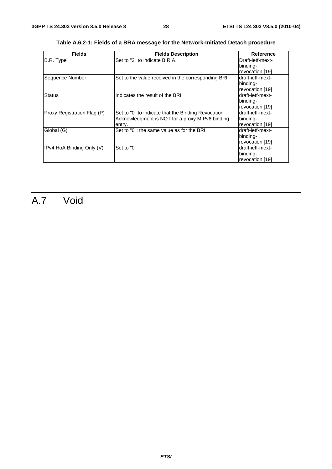| <b>Fields</b>               | <b>Fields Description</b>                           | <b>Reference</b> |  |  |
|-----------------------------|-----------------------------------------------------|------------------|--|--|
| B.R. Type                   | Set to "2" to indicate B.R.A.                       | Draft-ietf-mext- |  |  |
|                             |                                                     | binding-         |  |  |
|                             |                                                     | revocation [19]  |  |  |
| Sequence Number             | Set to the value received in the corresponding BRI. | draft-ietf-mext- |  |  |
|                             |                                                     | binding-         |  |  |
|                             |                                                     | revocation [19]  |  |  |
| <b>Status</b>               | Indicates the result of the BRI.                    | draft-ietf-mext- |  |  |
|                             |                                                     | binding-         |  |  |
|                             |                                                     | revocation [19]  |  |  |
| Proxy Registration Flag (P) | Set to "0" to indicate that the Binding Revocation  | draft-ietf-mext- |  |  |
|                             | Acknowledgment is NOT for a proxy MIPv6 binding     | binding-         |  |  |
|                             | entry.                                              | revocation [19]  |  |  |
| Global (G)                  | Set to "0"; the same value as for the BRI.          | draft-ietf-mext- |  |  |
|                             |                                                     | binding-         |  |  |
|                             |                                                     | revocation [19]  |  |  |
| IPv4 HoA Binding Only (V)   | Set to "0"                                          | draft-ietf-mext- |  |  |
|                             |                                                     | binding-         |  |  |
|                             |                                                     | revocation [19]  |  |  |

**Table A.6.2-1: Fields of a BRA message for the Network-Initiated Detach procedure** 

## A.7 Void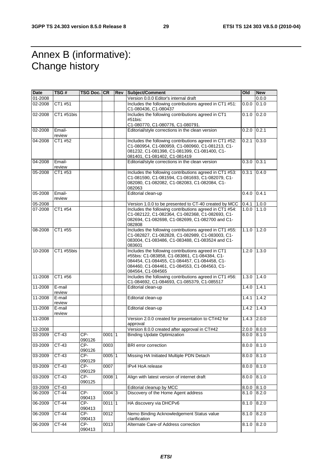### Annex B (informative): Change history

| Date    | TSG#             | TSG Doc. CR     |          | <b>Rev Subject/Comment</b>                                                                                                                                                                                              | Old               | <b>New</b> |
|---------|------------------|-----------------|----------|-------------------------------------------------------------------------------------------------------------------------------------------------------------------------------------------------------------------------|-------------------|------------|
| 01-2008 |                  |                 |          | Version 0.0.0 Editor's internal draft                                                                                                                                                                                   |                   | 0.0.0      |
| 02-2008 | CT1 #51          |                 |          | Includes the following contributions agreed in CT1 #51:<br>C1-080436, C1-080437                                                                                                                                         | 0.0.0             | 0.1.0      |
| 02-2008 | CT1 #51bis       |                 |          | Includes the following contributions agreed in CT1<br>#51bis:                                                                                                                                                           | 0.1.0             | 0.2.0      |
|         |                  |                 |          | C1-080770, C1-080776, C1-080791.                                                                                                                                                                                        |                   |            |
| 02-2008 | Email-<br>review |                 |          | Editorial/style corrections in the clean version                                                                                                                                                                        | 0.2.0             | 0.2.1      |
| 04-2008 | CT1 #52          |                 |          | Includes the following contributions agreed in CT1 #52:<br>C1-080954, C1-080959, C1-080960, C1-081213, C1-<br>081232, C1-081398, C1-081399, C1-081400, C1-<br>081401, C1-081402, C1-081419                              | 0.2.1             | 0.3.0      |
| 04-2008 | Email-<br>review |                 |          | Editorial/style corrections in the clean version                                                                                                                                                                        | 0.3.0             | 0.3.1      |
| 05-2008 | CT1 #53          |                 |          | Includes the following contributions agreed in CT1 #53:<br>C1-081590, C1-081594, C1-081693, C1-082079, C1-<br>082080, C1-082082, C1-082083, C1-082084, C1-<br>082063                                                    | 0.3.1             | 0.4.0      |
| 05-2008 | Email-<br>review |                 |          | Editorial clean-up                                                                                                                                                                                                      | $0.4.0$ 0.4.1     |            |
| 05-2008 |                  |                 |          | Version 1.0.0 to be presented to CT-40 created by MCC                                                                                                                                                                   | 0.4.1             | 1.0.0      |
| 07-2008 | CT1 #54          |                 |          | Includes the following contributions agreed in CT1 #54:<br>C1-082122, C1-082364, C1-082368, C1-082693, C1-<br>082694, C1-082698, C1-082699, C1-082700 and C1-<br>082808                                                 | 1.0.0             | 1.1.0      |
| 08-2008 | CT1 #55          |                 |          | Includes the following contributions agreed in CT1 #55:<br>C1-082827, C1-082828, C1-082989, C1-083003, C1-<br>083004, C1-083486, C1-083488, C1-083524 and C1-<br>083601                                                 | $1.1.0$   $1.2.0$ |            |
| 10-2008 | CT1 #55bis       |                 |          | Includes the following contributions agreed in CT1<br>#55bis: C1-083858, C1-083861, C1-084384, C1-<br>084454, C1-084455, C1-084457, C1-084458, C1-<br>084460, C1-084461, C1-084553, C1-084563, C1-<br>084564, C1-084565 | 1.2.0             | 1.3.0      |
| 11-2008 | CT1 #56          |                 |          | Includes the following contributions agreed in CT1 #56:<br>C1-084692, C1-084693, C1-085379, C1-085517                                                                                                                   | 1.3.0             | 1.4.0      |
| 11-2008 | E-mail<br>review |                 |          | Editorial clean-up                                                                                                                                                                                                      | 1.4.0             | 1.4.1      |
| 11-2008 | E-mail<br>review |                 |          | Editorial clean-up                                                                                                                                                                                                      | 1.4.1             | 1.4.2      |
| 11-2008 | E-mail<br>review |                 |          | Editorial clean-up                                                                                                                                                                                                      | 1.4.2             | 1.4.3      |
| 11-2008 |                  |                 |          | Version 2.0.0 created for presentation to CT#42 for<br>approval                                                                                                                                                         | 1.4.3             | 2.0.0      |
| 12-2008 |                  |                 |          | Version 8.0.0 created after approval in CT#42                                                                                                                                                                           | 2.0.0             | 8.0.0      |
| 03-2009 | CT-43            | CP-<br>090126   | 00011    | <b>Binding Update Optimization</b>                                                                                                                                                                                      | 8.0.0             | 8.1.0      |
| 03-2009 | $CT-43$          | $CP-$<br>090126 | 0003     | <b>BRI</b> error correction                                                                                                                                                                                             | 8.0.0             | 8.1.0      |
| 03-2009 | $CT-43$          | CP-<br>090129   | 0005 1   | Missing HA Initiated Multiple PDN Detach                                                                                                                                                                                | 8.0.0             | 8.1.0      |
| 03-2009 | $CT-43$          | CP-<br>090129   | 0007     | IPv4 HoA release                                                                                                                                                                                                        | 8.0.0             | 8.1.0      |
| 03-2009 | CT-43            | CP-<br>090125   | 0008 1   | Align with latest version of internet draft                                                                                                                                                                             | 8.0.0             | 8.1.0      |
| 03-2009 | CT-43            |                 |          | Editorial cleanup by MCC                                                                                                                                                                                                | 8.0.0             | 8.1.0      |
| 06-2009 | CT-44            | CP-<br>090413   | 0004 3   | Discovery of the Home Agent address                                                                                                                                                                                     | 8.1.0             | 8.2.0      |
| 06-2009 | $CT-44$          | $CP-$<br>090413 | $0011$ 1 | HA discovery via DHCPv6                                                                                                                                                                                                 | 8.1.0             | 8.2.0      |
| 06-2009 | $CT-44$          | $CP-$<br>090413 | 0012     | Nemo Binding Acknowledgement Status value<br>clarification                                                                                                                                                              | 8.1.0             | 8.2.0      |
| 06-2009 | CT-44            | CP-<br>090413   | 0013     | Alternate Care-of Address correction                                                                                                                                                                                    | 8.1.0             | 8.2.0      |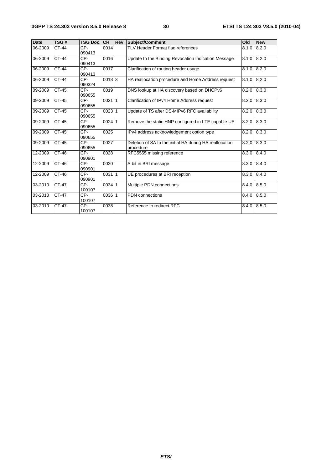| <b>Date</b> | <b>TSG#</b>  | <b>TSG Doc. CR</b> |          | <b>Rev</b> | Subject/Comment                                                      | Old   | <b>New</b> |
|-------------|--------------|--------------------|----------|------------|----------------------------------------------------------------------|-------|------------|
| 06-2009     | CT-44        | CP-<br>090413      | 0014     |            | TLV Header Format flag references                                    | 8.1.0 | 8.2.0      |
| 06-2009     | <b>CT-44</b> | CP-<br>090413      | 0016     |            | Update to the Binding Revocation Indication Message                  | 8.1.0 | 8.2.0      |
| 06-2009     | $CT-44$      | $CP-$<br>090413    | 0017     |            | Clarification of routing header usage                                | 8.1.0 | 8.2.0      |
| 06-2009     | $CT-44$      | $CP-$<br>090324    | $0018$ 3 |            | HA reallocation procedure and Home Address request                   | 8.1.0 | 8.2.0      |
| 09-2009     | <b>CT-45</b> | CP-<br>090655      | 0019     |            | DNS lookup at HA discovery based on DHCPv6                           | 8.2.0 | 8.3.0      |
| 09-2009     | $CT-45$      | $CP-$<br>090655    | $0021$ 1 |            | Clarification of IPv4 Home Address request                           | 8.2.0 | 8.3.0      |
| 09-2009     | $CT-45$      | $CP-$<br>090655    | 002311   |            | Update of TS after DS-MIPv6 RFC availability                         | 8.2.0 | 8.3.0      |
| 09-2009     | $CT-45$      | $CP-$<br>090655    | $0024$ 1 |            | Remove the static HNP configured in LTE capable UE                   | 8.2.0 | 8.3.0      |
| 09-2009     | $CT-45$      | $CP-$<br>090655    | 0025     |            | IPv4 address acknowledgement option type                             | 8.2.0 | 8.3.0      |
| 09-2009     | CT-45        | CP-<br>090655      | 0027     |            | Deletion of SA to the initial HA during HA reallocation<br>procedure | 8.2.0 | 8.3.0      |
| 12-2009     | $CT-46$      | $CP-$<br>090901    | 0028     |            | RFC5555 missing reference                                            | 8.3.0 | 8.4.0      |
| 12-2009     | $CT-46$      | $CP-$<br>090901    | 0030     |            | A bit in BRI message                                                 | 8.3.0 | 8.4.0      |
| 12-2009     | $CT-46$      | $CP-$<br>090901    | 003111   |            | UE procedures at BRI reception                                       | 8.3.0 | 8.4.0      |
| 03-2010     | CT-47        | CP-<br>100107      | $0034$ 1 |            | Multiple PDN connections                                             | 8.4.0 | 8.5.0      |
| 03-2010     | $CT-47$      | $CP-$<br>100107    | $0036$ 1 |            | <b>PDN</b> connections                                               | 8.4.0 | 8.5.0      |
| 03-2010     | CT-47        | CP-<br>100107      | 0038     |            | Reference to redirect RFC                                            | 8.4.0 | 8.5.0      |